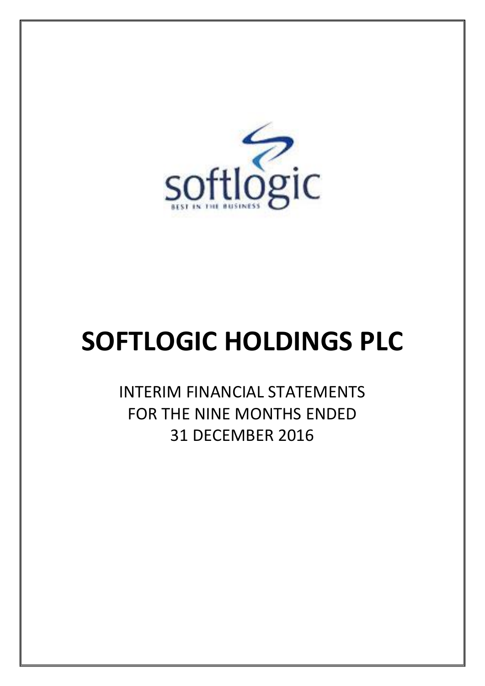

# **SOFTLOGIC HOLDINGS PLC**

INTERIM FINANCIAL STATEMENTS FOR THE NINE MONTHS ENDED 31 DECEMBER 2016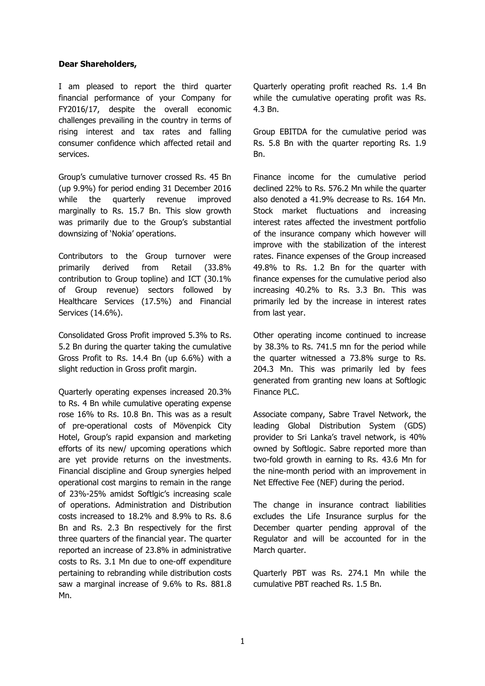#### **Dear Shareholders,**

I am pleased to report the third quarter financial performance of your Company for FY2016/17, despite the overall economic challenges prevailing in the country in terms of rising interest and tax rates and falling consumer confidence which affected retail and services.

Group's cumulative turnover crossed Rs. 45 Bn (up 9.9%) for period ending 31 December 2016 while the quarterly revenue improved marginally to Rs. 15.7 Bn. This slow growth was primarily due to the Group's substantial downsizing of 'Nokia' operations.

Contributors to the Group turnover were primarily derived from Retail (33.8% contribution to Group topline) and ICT (30.1% of Group revenue) sectors followed by Healthcare Services (17.5%) and Financial Services (14.6%).

Consolidated Gross Profit improved 5.3% to Rs. 5.2 Bn during the quarter taking the cumulative Gross Profit to Rs. 14.4 Bn (up 6.6%) with a slight reduction in Gross profit margin.

Quarterly operating expenses increased 20.3% to Rs. 4 Bn while cumulative operating expense rose 16% to Rs. 10.8 Bn. This was as a result of pre-operational costs of Mövenpick City Hotel, Group's rapid expansion and marketing efforts of its new/ upcoming operations which are yet provide returns on the investments. Financial discipline and Group synergies helped operational cost margins to remain in the range of 23%-25% amidst Softlgic's increasing scale of operations. Administration and Distribution costs increased to 18.2% and 8.9% to Rs. 8.6 Bn and Rs. 2.3 Bn respectively for the first three quarters of the financial year. The quarter reported an increase of 23.8% in administrative costs to Rs. 3.1 Mn due to one-off expenditure pertaining to rebranding while distribution costs saw a marginal increase of 9.6% to Rs. 881.8 Mn.

Quarterly operating profit reached Rs. 1.4 Bn while the cumulative operating profit was Rs. 4.3 Bn.

Group EBITDA for the cumulative period was Rs. 5.8 Bn with the quarter reporting Rs. 1.9 Bn.

Finance income for the cumulative period declined 22% to Rs. 576.2 Mn while the quarter also denoted a 41.9% decrease to Rs. 164 Mn. Stock market fluctuations and increasing interest rates affected the investment portfolio of the insurance company which however will improve with the stabilization of the interest rates. Finance expenses of the Group increased 49.8% to Rs. 1.2 Bn for the quarter with finance expenses for the cumulative period also increasing 40.2% to Rs. 3.3 Bn. This was primarily led by the increase in interest rates from last year.

Other operating income continued to increase by 38.3% to Rs. 741.5 mn for the period while the quarter witnessed a 73.8% surge to Rs. 204.3 Mn. This was primarily led by fees generated from granting new loans at Softlogic Finance PLC.

Associate company, Sabre Travel Network, the leading Global Distribution System (GDS) provider to Sri Lanka's travel network, is 40% owned by Softlogic. Sabre reported more than two-fold growth in earning to Rs. 43.6 Mn for the nine-month period with an improvement in Net Effective Fee (NEF) during the period.

The change in insurance contract liabilities excludes the Life Insurance surplus for the December quarter pending approval of the Regulator and will be accounted for in the March quarter.

Quarterly PBT was Rs. 274.1 Mn while the cumulative PBT reached Rs. 1.5 Bn.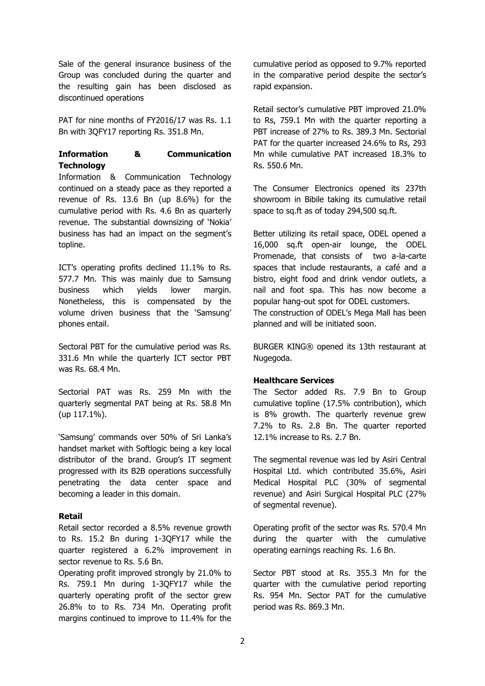Sale of the general insurance business of the Group was concluded during the quarter and the resulting gain has been disclosed as discontinued operations

PAT for nine months of FY2016/17 was Rs. 1.1 Bn with 3QFY17 reporting Rs. 351.8 Mn.

#### **Information & Communication Technology**

Information & Communication Technology continued on a steady pace as they reported a revenue of Rs. 13.6 Bn (up 8.6%) for the cumulative period with Rs. 4.6 Bn as quarterly revenue. The substantial downsizing of 'Nokia' business has had an impact on the segment's topline.

ICT's operating profits declined 11.1% to Rs. 577.7 Mn. This was mainly due to Samsung business which yields lower margin. Nonetheless, this is compensated by the volume driven business that the 'Samsung' phones entail.

Sectoral PBT for the cumulative period was Rs. 331.6 Mn while the quarterly ICT sector PBT was Rs. 68.4 Mn.

Sectorial PAT was Rs. 259 Mn with the quarterly segmental PAT being at Rs. 58.8 Mn (up 117.1%).

'Samsung' commands over 50% of Sri Lanka's handset market with Softlogic being a key local distributor of the brand. Group's IT segment progressed with its B2B operations successfully penetrating the data center space and becoming a leader in this domain.

#### **Retail**

Retail sector recorded a 8.5% revenue growth to Rs. 15.2 Bn during 1-3QFY17 while the quarter registered a 6.2% improvement in sector revenue to Rs. 5.6 Bn.

Operating profit improved strongly by 21.0% to Rs. 759.1 Mn during 1-3QFY17 while the quarterly operating profit of the sector grew 26.8% to to Rs. 734 Mn. Operating profit margins continued to improve to 11.4% for the

cumulative period as opposed to 9.7% reported in the comparative period despite the sector's rapid expansion.

Retail sector's cumulative PBT improved 21.0% to Rs, 759.1 Mn with the quarter reporting a PBT increase of 27% to Rs. 389.3 Mn. Sectorial PAT for the quarter increased 24.6% to Rs, 293 Mn while cumulative PAT increased 18.3% to Rs. 550.6 Mn.

The Consumer Electronics opened its 237th showroom in Bibile taking its cumulative retail space to sq.ft as of today 294,500 sq.ft.

Better utilizing its retail space, ODEL opened a 16,000 sq.ft open-air lounge, the ODEL Promenade, that consists of two a-la-carte spaces that include restaurants, a café and a bistro, eight food and drink vendor outlets, a nail and foot spa. This has now become a popular hang-out spot for ODEL customers. The construction of ODEL's Mega Mall has been planned and will be initiated soon.

BURGER KING® opened its 13th restaurant at Nugegoda.

#### **Healthcare Services**

The Sector added Rs. 7.9 Bn to Group cumulative topline (17.5% contribution), which is 8% growth. The quarterly revenue grew 7.2% to Rs. 2.8 Bn. The quarter reported 12.1% increase to Rs. 2.7 Bn.

The segmental revenue was led by Asiri Central Hospital Ltd. which contributed 35.6%, Asiri Medical Hospital PLC (30% of segmental revenue) and Asiri Surgical Hospital PLC (27% of segmental revenue).

Operating profit of the sector was Rs. 570.4 Mn during the quarter with the cumulative operating earnings reaching Rs. 1.6 Bn.

Sector PBT stood at Rs. 355.3 Mn for the quarter with the cumulative period reporting Rs. 954 Mn. Sector PAT for the cumulative period was Rs. 869.3 Mn.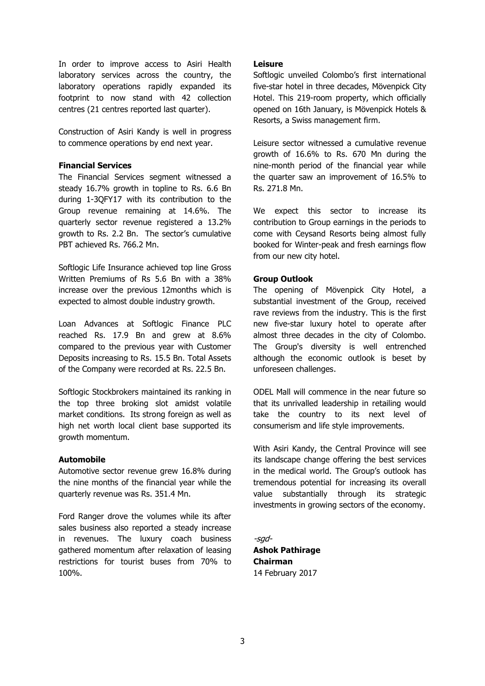In order to improve access to Asiri Health laboratory services across the country, the laboratory operations rapidly expanded its footprint to now stand with 42 collection centres (21 centres reported last quarter).

Construction of Asiri Kandy is well in progress to commence operations by end next year.

#### **Financial Services**

The Financial Services segment witnessed a steady 16.7% growth in topline to Rs. 6.6 Bn during 1-3QFY17 with its contribution to the Group revenue remaining at 14.6%. The quarterly sector revenue registered a 13.2% growth to Rs. 2.2 Bn. The sector's cumulative PBT achieved Rs. 766.2 Mn.

Softlogic Life Insurance achieved top line Gross Written Premiums of Rs 5.6 Bn with a 38% increase over the previous 12months which is expected to almost double industry growth.

Loan Advances at Softlogic Finance PLC reached Rs. 17.9 Bn and grew at 8.6% compared to the previous year with Customer Deposits increasing to Rs. 15.5 Bn. Total Assets of the Company were recorded at Rs. 22.5 Bn.

Softlogic Stockbrokers maintained its ranking in the top three broking slot amidst volatile market conditions. Its strong foreign as well as high net worth local client base supported its growth momentum.

#### **Automobile**

Automotive sector revenue grew 16.8% during the nine months of the financial year while the quarterly revenue was Rs. 351.4 Mn.

Ford Ranger drove the volumes while its after sales business also reported a steady increase in revenues. The luxury coach business gathered momentum after relaxation of leasing restrictions for tourist buses from 70% to 100%.

#### **Leisure**

Softlogic unveiled Colombo's first international five-star hotel in three decades, Mövenpick City Hotel. This 219-room property, which officially opened on 16th January, is Mövenpick Hotels & Resorts, a Swiss management firm.

Leisure sector witnessed a cumulative revenue growth of 16.6% to Rs. 670 Mn during the nine-month period of the financial year while the quarter saw an improvement of 16.5% to Rs. 271.8 Mn.

We expect this sector to increase its contribution to Group earnings in the periods to come with Ceysand Resorts being almost fully booked for Winter-peak and fresh earnings flow from our new city hotel.

#### **Group Outlook**

The opening of Mövenpick City Hotel, a substantial investment of the Group, received rave reviews from the industry. This is the first new five-star luxury hotel to operate after almost three decades in the city of Colombo. The Group's diversity is well entrenched although the economic outlook is beset by unforeseen challenges.

ODEL Mall will commence in the near future so that its unrivalled leadership in retailing would take the country to its next level of consumerism and life style improvements.

With Asiri Kandy, the Central Province will see its landscape change offering the best services in the medical world. The Group's outlook has tremendous potential for increasing its overall value substantially through its strategic investments in growing sectors of the economy.

-sgd-**Ashok Pathirage Chairman** 14 February 2017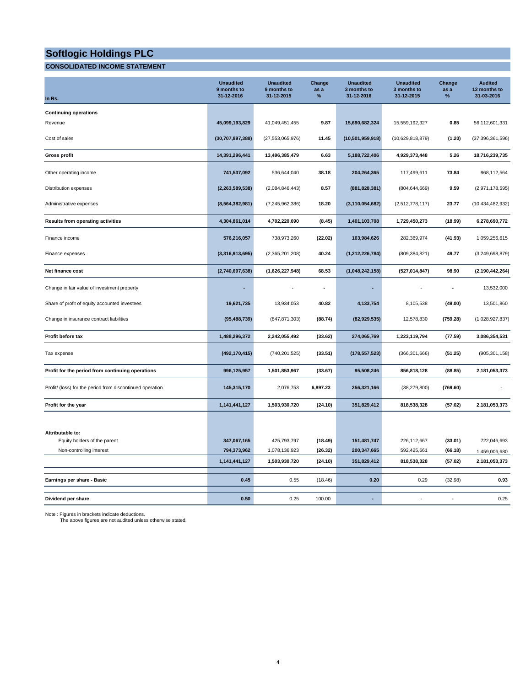#### **CONSOLIDATED INCOME STATEMENT**

|                                                           | <b>Unaudited</b><br>9 months to<br>31-12-2016 | <b>Unaudited</b><br>9 months to<br>31-12-2015 | Change<br>as a<br>% | <b>Unaudited</b><br>3 months to<br>31-12-2016 | <b>Unaudited</b><br>3 months to<br>31-12-2015 | Change<br>as a<br>$\%$ | <b>Audited</b><br>12 months to<br>31-03-2016 |
|-----------------------------------------------------------|-----------------------------------------------|-----------------------------------------------|---------------------|-----------------------------------------------|-----------------------------------------------|------------------------|----------------------------------------------|
| In Rs.                                                    |                                               |                                               |                     |                                               |                                               |                        |                                              |
| <b>Continuing operations</b><br>Revenue                   | 45,099,193,829                                | 41,049,451,455                                | 9.87                | 15,690,682,324                                | 15,559,192,327                                | 0.85                   | 56,112,601,331                               |
| Cost of sales                                             | (30,707,897,388)                              | (27, 553, 065, 976)                           | 11.45               | (10, 501, 959, 918)                           | (10,629,818,879)                              | (1.20)                 | (37, 396, 361, 596)                          |
| <b>Gross profit</b>                                       | 14,391,296,441                                | 13,496,385,479                                | 6.63                | 5,188,722,406                                 | 4,929,373,448                                 | 5.26                   | 18,716,239,735                               |
| Other operating income                                    | 741,537,092                                   | 536,644,040                                   | 38.18               | 204,264,365                                   | 117,499,611                                   | 73.84                  | 968,112,564                                  |
| Distribution expenses                                     | (2,263,589,538)                               | (2,084,846,443)                               | 8.57                | (881, 828, 381)                               | (804, 644, 669)                               | 9.59                   | (2,971,178,595)                              |
| Administrative expenses                                   | (8, 564, 382, 981)                            | (7, 245, 962, 386)                            | 18.20               | (3, 110, 054, 682)                            | (2,512,778,117)                               | 23.77                  | (10, 434, 482, 932)                          |
| <b>Results from operating activities</b>                  | 4,304,861,014                                 | 4,702,220,690                                 | (8.45)              | 1,401,103,708                                 | 1,729,450,273                                 | (18.99)                | 6,278,690,772                                |
| Finance income                                            | 576,216,057                                   | 738,973,260                                   | (22.02)             | 163,984,626                                   | 282,369,974                                   | (41.93)                | 1,059,256,615                                |
| Finance expenses                                          | (3,316,913,695)                               | (2,365,201,208)                               | 40.24               | (1, 212, 226, 784)                            | (809, 384, 821)                               | 49.77                  | (3,249,698,879)                              |
| Net finance cost                                          | (2,740,697,638)                               | (1,626,227,948)                               | 68.53               | (1,048,242,158)                               | (527, 014, 847)                               | 98.90                  | (2, 190, 442, 264)                           |
| Change in fair value of investment property               |                                               |                                               |                     |                                               |                                               |                        | 13,532,000                                   |
| Share of profit of equity accounted investees             | 19,621,735                                    | 13,934,053                                    | 40.82               | 4,133,754                                     | 8,105,538                                     | (49.00)                | 13,501,860                                   |
| Change in insurance contract liabilities                  | (95, 488, 739)                                | (847, 871, 303)                               | (88.74)             | (82, 929, 535)                                | 12,578,830                                    | (759.28)               | (1,028,927,837)                              |
| Profit before tax                                         | 1,488,296,372                                 | 2,242,055,492                                 | (33.62)             | 274,065,769                                   | 1,223,119,794                                 | (77.59)                | 3,086,354,531                                |
| Tax expense                                               | (492, 170, 415)                               | (740, 201, 525)                               | (33.51)             | (178, 557, 523)                               | (366, 301, 666)                               | (51.25)                | (905, 301, 158)                              |
| Profit for the period from continuing operations          | 996,125,957                                   | 1,501,853,967                                 | (33.67)             | 95,508,246                                    | 856,818,128                                   | (88.85)                | 2,181,053,373                                |
| Profit/ (loss) for the period from discontinued operation | 145,315,170                                   | 2,076,753                                     | 6,897.23            | 256,321,166                                   | (38, 279, 800)                                | (769.60)               |                                              |
| Profit for the year                                       | 1,141,441,127                                 | 1,503,930,720                                 | (24.10)             | 351,829,412                                   | 818,538,328                                   | (57.02)                | 2,181,053,373                                |
|                                                           |                                               |                                               |                     |                                               |                                               |                        |                                              |
| Attributable to:                                          |                                               |                                               |                     |                                               |                                               |                        |                                              |
| Equity holders of the parent                              | 347,067,165                                   | 425,793,797                                   | (18.49)             | 151,481,747                                   | 226,112,667                                   | (33.01)                | 722,046,693                                  |
| Non-controlling interest                                  | 794,373,962                                   | 1,078,136,923                                 | (26.32)             | 200,347,665                                   | 592,425,661                                   | (66.18)                | 1,459,006,680                                |
|                                                           | 1,141,441,127                                 | 1,503,930,720                                 | (24.10)             | 351,829,412                                   | 818,538,328                                   | (57.02)                | 2,181,053,373                                |
| Earnings per share - Basic                                | 0.45                                          | 0.55                                          | (18.46)             | 0.20                                          | 0.29                                          | (32.98)                | 0.93                                         |
| Dividend per share                                        | 0.50                                          | 0.25                                          | 100.00              |                                               |                                               |                        | 0.25                                         |

Note : Figures in brackets indicate deductions. The above figures are not audited unless otherwise stated.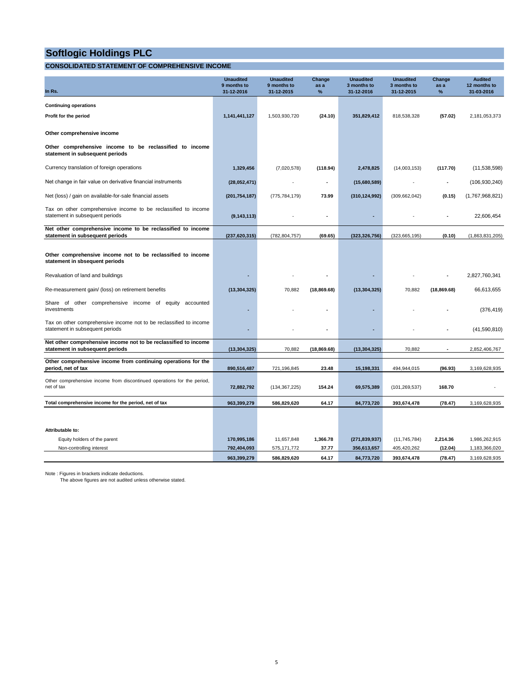#### **CONSOLIDATED STATEMENT OF COMPREHENSIVE INCOME**

|                                                                                                       | <b>Unaudited</b><br>9 months to | <b>Unaudited</b><br>9 months to | Change<br>as a | <b>Unaudited</b><br>3 months to | <b>Unaudited</b><br>3 months to | Change<br>as a     | <b>Audited</b><br>12 months to |
|-------------------------------------------------------------------------------------------------------|---------------------------------|---------------------------------|----------------|---------------------------------|---------------------------------|--------------------|--------------------------------|
| In Rs.                                                                                                | 31-12-2016                      | 31-12-2015                      | $\%$           | 31-12-2016                      | 31-12-2015                      | $\%$               | 31-03-2016                     |
| <b>Continuing operations</b>                                                                          |                                 |                                 |                |                                 |                                 |                    |                                |
| Profit for the period                                                                                 | 1,141,441,127                   | 1,503,930,720                   | (24.10)        | 351,829,412                     | 818,538,328                     | (57.02)            | 2,181,053,373                  |
| Other comprehensive income                                                                            |                                 |                                 |                |                                 |                                 |                    |                                |
| Other comprehensive income to be reclassified to income<br>statement in subsequent periods            |                                 |                                 |                |                                 |                                 |                    |                                |
| Currency translation of foreign operations                                                            | 1,329,456                       | (7,020,578)                     | (118.94)       | 2,478,825                       | (14,003,153)                    | (117.70)           | (11,538,598)                   |
| Net change in fair value on derivative financial instruments                                          | (28,052,471)                    |                                 |                | (15,680,589)                    |                                 |                    | (106, 930, 240)                |
| Net (loss) / gain on available-for-sale financial assets                                              | (201, 754, 187)                 | (775, 784, 179)                 | 73.99          | (310, 124, 992)                 | (309, 662, 042)                 | (0.15)             | (1,767,968,821)                |
| Tax on other comprehensive income to be reclassified to income<br>statement in subsequent periods     | (9, 143, 113)                   |                                 | ä,             |                                 |                                 |                    | 22,606,454                     |
| Net other comprehensive income to be reclassified to income<br>statement in subsequent periods        | (237, 620, 315)                 | (782, 804, 757)                 | (69.65)        | (323, 326, 756)                 | (323, 665, 195)                 | (0.10)             | (1,863,831,205)                |
|                                                                                                       |                                 |                                 |                |                                 |                                 |                    |                                |
| Other comprehensive income not to be reclassified to income<br>statement in sbsequent periods         |                                 |                                 |                |                                 |                                 |                    |                                |
| Revaluation of land and buildings                                                                     |                                 |                                 |                |                                 |                                 |                    | 2,827,760,341                  |
| Re-measurement gain/ (loss) on retirement benefits                                                    | (13, 304, 325)                  | 70,882                          | (18, 869.68)   | (13, 304, 325)                  | 70,882                          | (18, 869.68)       | 66,613,655                     |
| Share<br>of other comprehensive income of equity<br>accounted<br>investments                          |                                 |                                 |                |                                 |                                 |                    | (376, 419)                     |
| Tax on other comprehensive income not to be reclassified to income<br>statement in subsequent periods |                                 |                                 |                |                                 |                                 |                    | (41,590,810)                   |
| Net other comprehensive income not to be reclassified to income<br>statement in subsequent periods    | (13, 304, 325)                  | 70,882                          | (18, 869.68)   | (13, 304, 325)                  | 70,882                          | $\blacksquare$     | 2,852,406,767                  |
|                                                                                                       |                                 |                                 |                |                                 |                                 |                    |                                |
| Other comprehensive income from continuing operations for the<br>period, net of tax                   | 890,516,487                     | 721,196,845                     | 23.48          | 15,198,331                      | 494,944,015                     | (96.93)            | 3,169,628,935                  |
| Other comprehensive income from discontinued operations for the period,<br>net of tax                 | 72,882,792                      | (134, 367, 225)                 | 154.24         | 69,575,389                      | (101, 269, 537)                 | 168.70             |                                |
| Total comprehensive income for the period, net of tax                                                 | 963,399,279                     | 586,829,620                     | 64.17          | 84,773,720                      | 393,674,478                     | (78.47)            | 3,169,628,935                  |
|                                                                                                       |                                 |                                 |                |                                 |                                 |                    |                                |
|                                                                                                       |                                 |                                 |                |                                 |                                 |                    |                                |
| Attributable to:                                                                                      |                                 |                                 |                |                                 |                                 |                    |                                |
| Equity holders of the parent                                                                          | 170,995,186<br>792,404,093      | 11,657,848                      | 1,366.78       | (271, 839, 937)                 | (11, 745, 784)                  | 2,214.36           | 1,986,262,915                  |
| Non-controlling interest                                                                              | 963.399.279                     | 575, 171, 772<br>586,829,620    | 37.77<br>64.17 | 356,613,657<br>84.773.720       | 405,420,262<br>393,674,478      | (12.04)<br>(78.47) | 1,183,366,020<br>3,169,628,935 |

Note : Figures in brackets indicate deductions. The above figures are not audited unless otherwise stated.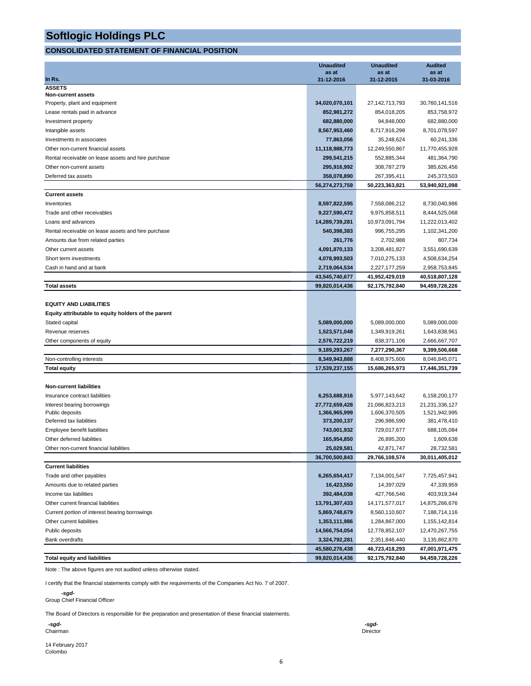#### **CONSOLIDATED STATEMENT OF FINANCIAL POSITION**

|                                                     | <b>Unaudited</b>             | <b>Unaudited</b>             | <b>Audited</b>                  |
|-----------------------------------------------------|------------------------------|------------------------------|---------------------------------|
|                                                     | as at                        | as at                        | as at                           |
| In Rs.<br><b>ASSETS</b>                             | 31-12-2016                   | 31-12-2015                   | 31-03-2016                      |
| Non-current assets                                  |                              |                              |                                 |
| Property, plant and equipment                       | 34,020,070,101               | 27,142,713,793               | 30,760,141,516                  |
| Lease rentals paid in advance                       | 852,981,272                  | 854,018,205                  | 853,758,972                     |
| Investment property                                 | 682,880,000                  | 94,848,000                   | 682,880,000                     |
| Intangible assets                                   | 8,567,953,460                | 8,717,916,298                | 8,701,078,597                   |
| Investments in associates                           | 77,863,056                   | 35,248,624                   | 60,241,336                      |
| Other non-current financial assets                  | 11,118,988,773               | 12,249,550,867               | 11,770,455,928                  |
| Rental receivable on lease assets and hire purchase | 299,541,215                  | 552,885,344                  | 481,364,790                     |
| Other non-current assets                            | 295,916,992                  | 308,787,279                  | 385,626,456                     |
| Deferred tax assets                                 | 358,078,890                  | 267,395,411                  | 245,373,503                     |
|                                                     | 56,274,273,759               | 50,223,363,821               | 53,940,921,098                  |
| <b>Current assets</b>                               |                              |                              |                                 |
| Inventories                                         | 8,597,822,595                | 7,558,086,212                | 8,730,040,986                   |
| Trade and other receivables                         | 9,227,590,472                | 9,975,858,511                | 8,444,525,068                   |
| Loans and advances                                  | 14,289,739,281               | 10,973,091,794               | 11,222,013,402                  |
| Rental receivable on lease assets and hire purchase | 540,398,383                  | 996,755,295                  | 1,102,341,200                   |
| Amounts due from related parties                    | 261,776                      | 2,702,988                    | 807,734                         |
| Other current assets                                | 4,091,870,133                | 3,208,481,827                | 3,551,690,639                   |
| Short term investments                              | 4,078,993,503                | 7,010,275,133                | 4,508,634,254                   |
| Cash in hand and at bank                            | 2,719,064,534                | 2,227,177,259                | 2,958,753,845                   |
|                                                     | 43,545,740,677               | 41,952,429,019               | 40,518,807,128                  |
| Total assets                                        | 99,820,014,436               | 92,175,792,840               | 94,459,728,226                  |
|                                                     |                              |                              |                                 |
| <b>EQUITY AND LIABILITIES</b>                       |                              |                              |                                 |
| Equity attributable to equity holders of the parent |                              |                              |                                 |
| Stated capital                                      | 5,089,000,000                | 5,089,000,000                | 5,089,000,000                   |
| Revenue reserves                                    | 1,523,571,048                | 1,349,919,261                | 1,643,838,961                   |
| Other components of equity                          | 2,576,722,219                | 838,371,106                  | 2,666,667,707                   |
|                                                     | 9,189,293,267                | 7,277,290,367                | 9,399,506,668                   |
| Non-controlling interests                           | 8,349,943,888                | 8,408,975,606                | 8,046,845,071                   |
| <b>Total equity</b>                                 | 17,539,237,155               | 15,686,265,973               | 17,446,351,739                  |
|                                                     |                              |                              |                                 |
| <b>Non-current liabilities</b>                      |                              |                              |                                 |
| Insurance contract liabilities                      | 6,253,688,916                | 5,977,143,642                | 6,158,200,177                   |
| Interest bearing borrowings                         | 27,772,659,428               | 21,086,823,213               | 21,231,336,127<br>1,521,942,995 |
| Public deposits<br>Deferred tax liabilities         | 1,366,965,999<br>373,200,137 | 1,606,370,505<br>296,986,590 | 381,478,410                     |
| Employee benefit liabilities                        | 743,001,932                  | 729,017,677                  | 688,105,084                     |
| Other deferred liabilities                          | 165,954,850                  | 26,895,200                   | 1,609,638                       |
| Other non-current financial liabilities             | 25,029,581                   | 42,871,747                   | 28,732,581                      |
|                                                     | 36,700,500,843               | 29,766,108,574               | 30,011,405,012                  |
| <b>Current liabilities</b>                          |                              |                              |                                 |
| Trade and other payables                            | 6,265,654,417                | 7,134,001,547                | 7,725,457,941                   |
| Amounts due to related parties                      | 16,423,550                   | 14,397,029                   | 47,339,959                      |
| Income tax liabilities                              | 392,484,038                  | 427,766,546                  | 403,919,344                     |
| Other current financial liabilities                 | 13,791,307,433               | 14, 171, 577, 017            | 14,875,266,676                  |
| Current portion of interest bearing borrowings      | 5,869,748,679                | 8,560,110,607                | 7,188,714,116                   |
| Other current liabilities                           | 1,353,111,986                | 1,284,867,000                | 1,155,142,814                   |
| Public deposits                                     | 14,566,754,054               | 12,778,852,107               | 12,470,267,755                  |
| <b>Bank overdrafts</b>                              | 3,324,792,281                | 2,351,846,440                | 3,135,862,870                   |
|                                                     | 45,580,276,438               | 46,723,418,293               | 47,001,971,475                  |
| <b>Total equity and liabilities</b>                 | 99,820,014,436               | 92,175,792,840               | 94,459,728,226                  |

Note : The above figures are not audited unless otherwise stated.

I certify that the financial statements comply with the requirements of the Companies Act No. 7 of 2007.

 *-sgd-*

Group Chief Financial Officer

The Board of Directors is responsible for the preparation and presentation of these financial statements.

 *-sgd- -sgd-*

14 February 2017 Colombo

6

Chairman Director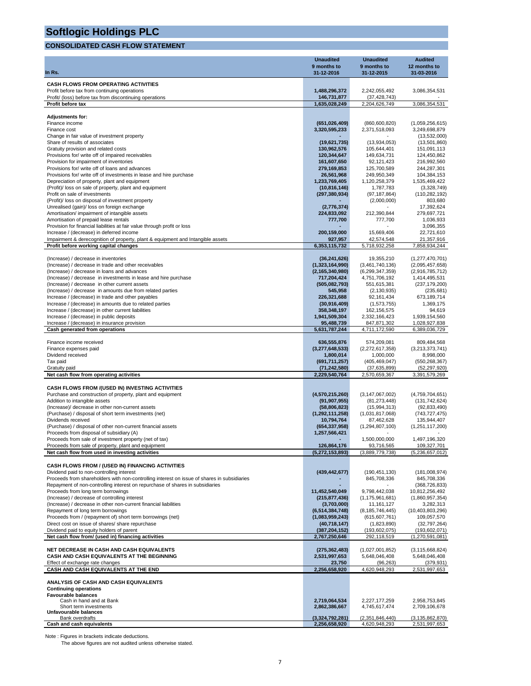#### **CONSOLIDATED CASH FLOW STATEMENT**

|                                                                                                                                                                              | <b>Unaudited</b>                      | <b>Unaudited</b>                      | <b>Audited</b>                     |
|------------------------------------------------------------------------------------------------------------------------------------------------------------------------------|---------------------------------------|---------------------------------------|------------------------------------|
| In Rs.                                                                                                                                                                       | 9 months to<br>31-12-2016             | 9 months to<br>31-12-2015             | 12 months to<br>31-03-2016         |
|                                                                                                                                                                              |                                       |                                       |                                    |
| <b>CASH FLOWS FROM OPERATING ACTIVITIES</b><br>Profit before tax from continuing operations                                                                                  | 1,488,296,372                         | 2,242,055,492                         | 3,086,354,531                      |
| Profit/ (loss) before tax from discontinuing operations                                                                                                                      | 146,731,877                           | (37, 428, 743)                        |                                    |
| Profit before tax                                                                                                                                                            | 1,635,028,249                         | 2,204,626,749                         | 3,086,354,531                      |
| <b>Adjustments for:</b>                                                                                                                                                      |                                       |                                       |                                    |
| Finance income                                                                                                                                                               | (651, 026, 409)                       | (860, 600, 820)                       | (1,059,256,615)                    |
| Finance cost                                                                                                                                                                 | 3,320,595,233                         | 2,371,518,093                         | 3,249,698,879                      |
| Change in fair value of investment property                                                                                                                                  |                                       |                                       | (13,532,000)                       |
| Share of results of associates<br>Gratuity provision and related costs                                                                                                       | (19,621,735)<br>130,962,576           | (13,934,053)<br>105,644,401           | (13,501,860)<br>151,091,113        |
| Provisions for/ write off of impaired receivables                                                                                                                            | 120,344,647                           | 149,634,731                           | 124,450,862                        |
| Provision for impairment of inventories                                                                                                                                      | 161,607,650                           | 92,121,423                            | 216,992,560                        |
| Provisions for/ write off of loans and advances                                                                                                                              | 279,169,853                           | 125,700,589                           | 244,287,301                        |
| Provisions for/write off of investments in lease and hire purchase<br>Depreciation of property, plant and equipment                                                          | 26,561,968<br>1,233,769,405           | 249,950,349<br>1,120,258,379          | 104,384,153<br>1,535,469,422       |
| (Profit)/ loss on sale of property, plant and equipment                                                                                                                      | (10, 816, 146)                        | 1,787,783                             | (3,328,749)                        |
| Profit on sale of investments                                                                                                                                                | (297, 380, 934)                       | (97, 187, 864)                        | (110, 282, 192)                    |
| (Profit)/ loss on disposal of investment property                                                                                                                            |                                       | (2,000,000)                           | 803,680                            |
| Unrealised (gain)/ loss on foreign exchange<br>Amortisation/ impairment of intangible assets                                                                                 | (2,776,374)<br>224,833,092            | 212,390,844                           | 17,392,624<br>279,697,721          |
| Amortisation of prepaid lease rentals                                                                                                                                        | 777,700                               | 777,700                               | 1,036,933                          |
| Provision for financial liabilities at fair value through profit or loss                                                                                                     |                                       |                                       | 3,096,355                          |
| Increase / (decrease) in deferred income                                                                                                                                     | 200,159,000                           | 15,669,406                            | 22,721,610                         |
| Impairment & derecognition of property, plant & equipment and Intangible assets<br>Profit before working capital changes                                                     | 927,957<br>6,353,115,732              | 42,574,548<br>5,718,932,258           | 21,357,916<br>7,858,934,244        |
|                                                                                                                                                                              |                                       |                                       |                                    |
| (Increase) / decrease in inventories                                                                                                                                         | (36, 241, 626)                        | 19,355,210                            | (1,277,470,701)                    |
| (Increase) / decrease in trade and other receivables                                                                                                                         | (1,323,164,990)                       | (3,461,740,136)                       | (2,095,457,658)                    |
| (Increase) / decrease in loans and advances<br>(Increase) / decrease in investments in lease and hire purchase                                                               | (2, 165, 340, 980)<br>717,204,424     | (6, 299, 347, 359)<br>4,751,706,192   | (2,916,785,712)<br>1,414,495,531   |
| (Increase) / decrease in other current assets                                                                                                                                | (505,082,793)                         | 551,615,381                           | (237, 179, 200)                    |
| (Increase) / decrease in amounts due from related parties                                                                                                                    | 545,958                               | (2, 130, 935)                         | (235, 681)                         |
| Increase / (decrease) in trade and other payables                                                                                                                            | 226,321,688                           | 92, 161, 434                          | 673,189,714                        |
| Increase / (decrease) in amounts due to related parties<br>Increase / (decrease) in other current liabilities                                                                | (30, 916, 409)<br>358,348,197         | (1,573,755)<br>162, 156, 575          | 1,369,175<br>94,619                |
| Increase / (decrease) in public deposits                                                                                                                                     | 1,941,509,304                         | 2,332,166,423                         | 1,939,154,560                      |
| Increase / (decrease) in insurance provision                                                                                                                                 | 95,488,739                            | 847,871,302                           | 1,028,927,838                      |
| Cash generated from operations                                                                                                                                               | 5,631,787,244                         | 4,711,172,590                         | 6,389,036,729                      |
| Finance income received                                                                                                                                                      | 636,555,876                           | 574,209,081                           | 809,484,568                        |
| Finance expenses paid                                                                                                                                                        | (3,277,648,533)                       | (2,272,617,358)                       | (3,213,373,741)                    |
| Dividend received                                                                                                                                                            | 1,800,014                             | 1,000,000                             | 8,998,000                          |
| Tax paid<br>Gratuity paid                                                                                                                                                    | (691, 711, 257)<br>(71, 242, 580)     | (405, 469, 047)<br>(37,635,899)       | (550, 268, 367)<br>(52, 297, 920)  |
| Net cash flow from operating activities                                                                                                                                      | 2,229,540,764                         | 2,570,659,367                         | 3,391,579,269                      |
|                                                                                                                                                                              |                                       |                                       |                                    |
| CASH FLOWS FROM /(USED IN) INVESTING ACTIVITIES<br>Purchase and construction of property, plant and equipment                                                                | (4,570,215,260)                       | (3, 147, 067, 002)                    | (4,759,704,651)                    |
| Addition to intangible assets                                                                                                                                                | (91, 907, 955)                        | (81, 273, 448)                        | (131, 742, 624)                    |
| (Increase)/ decrease in other non-current assets                                                                                                                             | (58, 806, 823)                        | (15,994,313)                          | (92, 833, 490)                     |
| (Purchase) / disposal of short term investments (net)                                                                                                                        | (1, 292, 111, 258)                    | (1,031,817,068)                       | (743, 727, 475)                    |
| Dividends received<br>(Purchase) / disposal of other non-current financial assets                                                                                            | 10,794,764<br>(654, 337, 958)         | 87,462,628<br>(1, 294, 807, 100)      | 135,944,407<br>(1,251,117,200)     |
| Proceeds from disposal of subsidiary (A)                                                                                                                                     | 1,257,566,421                         |                                       |                                    |
| Proceeds from sale of investment property (net of tax)                                                                                                                       |                                       | 1,500,000,000                         | 1,497,196,320                      |
| Proceeds from sale of property, plant and equipment                                                                                                                          | 126,864,176                           | 93,716,565<br>(3,889,779,738)         | 109,327,701                        |
| Net cash flow from used in investing activities                                                                                                                              | (5, 272, 153, 893)                    |                                       | (5,236,657,012)                    |
| CASH FLOWS FROM / (USED IN) FINANCING ACTIVITIES                                                                                                                             |                                       |                                       |                                    |
| Dividend paid to non-controlling interest                                                                                                                                    | (439, 442, 677)                       | (190, 451, 130)                       | (181,008,974)                      |
| Proceeds from shareholders with non-controlling interest on issue of shares in subsidiaries<br>Repayment of non-controlling interest on repurchase of shares in subsidiaries |                                       | 845,708,336                           | 845,708,336                        |
| Proceeds from long term borrowings                                                                                                                                           | 11,452,540,049                        | 9,798,442,038                         | (368, 726, 833)<br>10,812,256,492  |
| (Increase) / decrease of controlling interest                                                                                                                                | (215, 877, 436)                       | (1, 175, 961, 681)                    | (1,860,957,354)                    |
| (Increase) / decrease in other non-current financial liabilities                                                                                                             | (3,703,000)                           | 11, 161, 127                          | 3,282,313                          |
| Repayment of long term borrowings<br>Proceeds from / (repayment of) short term borrowings (net)                                                                              | (6, 514, 384, 748)<br>(1,083,959,243) | (8, 185, 746, 445)<br>(615, 607, 761) | (10, 403, 803, 296)<br>109,057,570 |
| Direct cost on issue of shares/ share repurchase                                                                                                                             | (40, 718, 147)                        | (1,823,890)                           | (32, 797, 264)                     |
| Dividend paid to equity holders of parent                                                                                                                                    | (387, 204, 152)                       | (193, 602, 075)                       | (193, 602, 071)                    |
| Net cash flow from/ (used in) financing activities                                                                                                                           | 2,767,250,646                         | 292,118,519                           | (1,270,591,081)                    |
| NET DECREASE IN CASH AND CASH EQUIVALENTS                                                                                                                                    | (275, 362, 483)                       | (1,027,001,852)                       | (3, 115, 668, 824)                 |
| CASH AND CASH EQUIVALENTS AT THE BEGINNING                                                                                                                                   | 2,531,997,653                         | 5,648,046,408                         | 5,648,046,408                      |
| Effect of exchange rate changes                                                                                                                                              | 23,750                                | (96, 263)                             | (379, 931)                         |
| CASH AND CASH EQUIVALENTS AT THE END                                                                                                                                         | 2,256,658,920                         | 4,620,948,293                         | 2,531,997,653                      |
| ANALYSIS OF CASH AND CASH EQUIVALENTS                                                                                                                                        |                                       |                                       |                                    |
| <b>Continuing operations</b>                                                                                                                                                 |                                       |                                       |                                    |
| <b>Favourable balances</b><br>Cash in hand and at Bank                                                                                                                       | 2,719,064,534                         | 2,227,177,259                         | 2,958,753,845                      |
| Short term investments                                                                                                                                                       | 2,862,386,667                         | 4,745,617,474                         | 2,709,106,678                      |
| Unfavourable balances<br><b>Bank overdrafts</b>                                                                                                                              | (3,324,792,281)                       | (2,351,846,440)                       | (3, 135, 862, 870)                 |
| Cash and cash equivalents                                                                                                                                                    | 2,256,658,920                         | 4,620,948,293                         | 2,531,997,653                      |

Note : Figures in brackets indicate deductions. The above figures are not audited unless otherwise stated.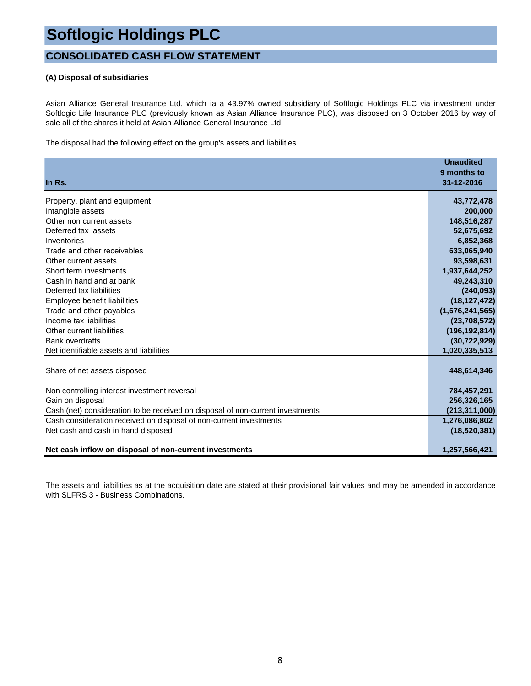### **CONSOLIDATED CASH FLOW STATEMENT**

#### **(A) Disposal of subsidiaries**

Asian Alliance General Insurance Ltd, which ia a 43.97% owned subsidiary of Softlogic Holdings PLC via investment under Softlogic Life Insurance PLC (previously known as Asian Alliance Insurance PLC), was disposed on 3 October 2016 by way of sale all of the shares it held at Asian Alliance General Insurance Ltd.

The disposal had the following effect on the group's assets and liabilities.

|                                                                                | <b>Unaudited</b><br>9 months to |
|--------------------------------------------------------------------------------|---------------------------------|
| In Rs.                                                                         | 31-12-2016                      |
| Property, plant and equipment                                                  | 43,772,478                      |
| Intangible assets                                                              | 200,000                         |
| Other non current assets                                                       | 148,516,287                     |
| Deferred tax assets                                                            | 52,675,692                      |
| Inventories                                                                    | 6,852,368                       |
| Trade and other receivables                                                    | 633,065,940                     |
| Other current assets                                                           | 93,598,631                      |
| Short term investments                                                         | 1,937,644,252                   |
| Cash in hand and at bank                                                       | 49,243,310                      |
| Deferred tax liabilities                                                       | (240, 093)                      |
| Employee benefit liabilities                                                   | (18, 127, 472)                  |
| Trade and other payables                                                       | (1,676,241,565)                 |
| Income tax liabilities                                                         | (23,708,572)                    |
| Other current liabilities                                                      | (196, 192, 814)                 |
| <b>Bank overdrafts</b>                                                         | (30, 722, 929)                  |
| Net identifiable assets and liabilities                                        | 1,020,335,513                   |
| Share of net assets disposed                                                   | 448,614,346                     |
| Non controlling interest investment reversal                                   | 784,457,291                     |
| Gain on disposal                                                               | 256,326,165                     |
| Cash (net) consideration to be received on disposal of non-current investments | (213, 311, 000)                 |
| Cash consideration received on disposal of non-current investments             | 1,276,086,802                   |
| Net cash and cash in hand disposed                                             | (18, 520, 381)                  |
| Net cash inflow on disposal of non-current investments                         | 1,257,566,421                   |

The assets and liabilities as at the acquisition date are stated at their provisional fair values and may be amended in accordance with SLFRS 3 - Business Combinations.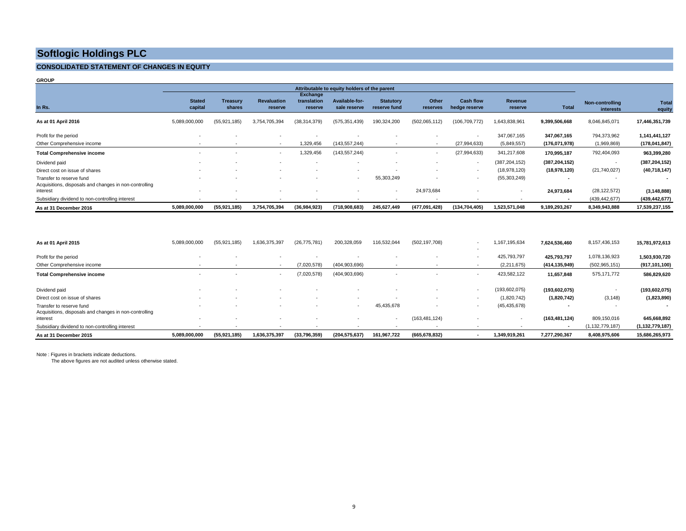#### **CONSOLIDATED STATEMENT OF CHANGES IN EQUITY**

**GROUP**

|                                                                                    | Attributable to equity holders of the parent |                           |                               |                                    |                                |                                  |                          |                                   |                           |                          |                              |                 |
|------------------------------------------------------------------------------------|----------------------------------------------|---------------------------|-------------------------------|------------------------------------|--------------------------------|----------------------------------|--------------------------|-----------------------------------|---------------------------|--------------------------|------------------------------|-----------------|
| In Rs.                                                                             | <b>Stated</b><br>capital                     | <b>Treasury</b><br>shares | <b>Revaluation</b><br>reserve | Exchange<br>translation<br>reserve | Available-for-<br>sale reserve | <b>Statutory</b><br>reserve fund | Other<br>reserves        | <b>Cash flow</b><br>hedge reserve | <b>Revenue</b><br>reserve | <b>Total</b>             | Non-controlling<br>interests | Total<br>equity |
| As at 01 April 2016                                                                | 5,089,000,000                                | (55, 921, 185)            | 3,754,705,394                 | (38, 314, 379)                     | (575, 351, 439)                | 190,324,200                      | (502,065,112)            | (106, 709, 772)                   | 1,643,838,961             | 9,399,506,668            | 8,046,845,071                | 17,446,351,739  |
| Profit for the period                                                              |                                              |                           |                               |                                    |                                |                                  | $\overline{\phantom{a}}$ | $\overline{\phantom{a}}$          | 347,067,165               | 347,067,165              | 794,373,962                  | 1,141,441,127   |
| Other Comprehensive income                                                         | $\sim$                                       |                           |                               | 1,329,456                          | (143, 557, 244)                | $\sim$                           | $\sim$                   | (27, 994, 633)                    | (5,849,557)               | (176,071,978)            | (1,969,869)                  | (178, 041, 847) |
| <b>Total Comprehensive income</b>                                                  |                                              |                           | $\overline{\phantom{a}}$      | 1,329,456                          | (143, 557, 244)                |                                  | $\sim$                   | (27, 994, 633)                    | 341,217,608               | 170,995,187              | 792,404,093                  | 963,399,280     |
| Dividend paid                                                                      |                                              |                           |                               |                                    |                                |                                  |                          | $\overline{\phantom{a}}$          | (387, 204, 152)           | (387, 204, 152)          |                              | (387, 204, 152) |
| Direct cost on issue of shares                                                     |                                              |                           |                               |                                    | $\overline{\phantom{a}}$       |                                  |                          |                                   | (18,978,120)              | (18,978,120)             | (21,740,027)                 | (40, 718, 147)  |
| Transfer to reserve fund<br>Acquisitions, disposals and changes in non-controlling |                                              |                           |                               |                                    | $\sim$                         | 55,303,249                       |                          | $\sim$                            | (55, 303, 249)            |                          |                              |                 |
| interest                                                                           |                                              |                           |                               |                                    |                                | $\sim$                           | 24,973,684               |                                   | $\overline{\phantom{a}}$  | 24,973,684               | (28, 122, 572)               | (3, 148, 888)   |
| Subsidiary dividend to non-controlling interest                                    |                                              |                           |                               |                                    |                                |                                  |                          |                                   |                           | $\overline{\phantom{a}}$ | (439, 442, 677)              | (439, 442, 677) |
| As at 31 December 2016                                                             | 5,089,000,000                                | (55,921,185)              | 3,754,705,394                 | (36,984,923)                       | (718,908,683)                  | 245.627.449                      | (477,091,428)            | (134, 704, 405)                   | 1,523,571,048             | 9,189,293,267            | 8,349,943,888                | 17,539,237,155  |

| As at 01 April 2015                                                | 5,089,000,000            | (55, 921, 185) | 1,636,375,397            | (26, 775, 781) | 200,328,059     | 116,532,044 | (502, 197, 708) | 1,167,195,634   | 7,624,536,460   | 8,157,436,153      | 15,781,972,613           |
|--------------------------------------------------------------------|--------------------------|----------------|--------------------------|----------------|-----------------|-------------|-----------------|-----------------|-----------------|--------------------|--------------------------|
| Profit for the period                                              |                          |                |                          |                |                 |             |                 | 425,793,797     | 425.793.797     | 1,078,136,923      | 1,503,930,720            |
| Other Comprehensive income                                         |                          |                |                          | (7,020,578)    | (404, 903, 696) |             |                 | (2,211,675)     | (414,135,949)   | (502, 965, 151)    | (917,101,100)            |
| <b>Total Comprehensive income</b>                                  | $\overline{\phantom{a}}$ |                | $\overline{\phantom{a}}$ | (7,020,578)    | (404, 903, 696) |             |                 | 423,582,122     | 11,657,848      | 575,171,772        | 586,829,620              |
| Dividend paid                                                      |                          |                |                          |                |                 |             |                 | (193, 602, 075) | (193, 602, 075) |                    | (193, 602, 075)          |
| Direct cost on issue of shares                                     |                          |                |                          |                |                 |             |                 | (1,820,742)     | (1,820,742)     | (3, 148)           | (1,823,890)              |
| Transfer to reserve fund                                           |                          |                |                          |                |                 | 45,435,678  |                 | (45, 435, 678)  |                 |                    | $\overline{\phantom{a}}$ |
| Acquisitions, disposals and changes in non-controlling<br>interest |                          |                |                          |                |                 | $\sim$      | (163, 481, 124) | $\sim$          | (163, 481, 124) | 809,150,016        | 645,668,892              |
| Subsidiary dividend to non-controlling interest                    |                          |                |                          |                |                 |             |                 |                 |                 | (1, 132, 779, 187) | (1, 132, 779, 187)       |
| As at 31 December 2015                                             | 5,089,000,000            | (55, 921, 185) | 1,636,375,397            | (33,796,359)   | (204, 575, 637) | 161,967,722 | (665, 678, 832) | 1,349,919,261   | 7,277,290,367   | 8,408,975,606      | 15,686,265,973           |

Note : Figures in brackets indicate deductions.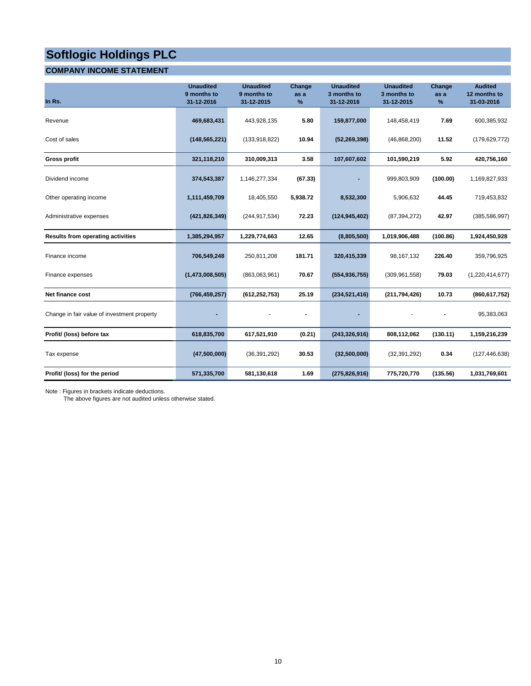#### **COMPANY INCOME STATEMENT**

| In Rs.                                      | <b>Unaudited</b><br>9 months to<br>31-12-2016 | <b>Unaudited</b><br>9 months to<br>31-12-2015 | Change<br>as a<br>% | <b>Unaudited</b><br>3 months to<br>31-12-2016 | <b>Unaudited</b><br>3 months to<br>31-12-2015 | Change<br>as a<br>% | <b>Audited</b><br>12 months to<br>31-03-2016 |
|---------------------------------------------|-----------------------------------------------|-----------------------------------------------|---------------------|-----------------------------------------------|-----------------------------------------------|---------------------|----------------------------------------------|
| Revenue                                     | 469,683,431                                   | 443,928,135                                   | 5.80                | 159,877,000                                   | 148,458,419                                   | 7.69                | 600,385,932                                  |
| Cost of sales                               | (148, 565, 221)                               | (133,918,822)                                 | 10.94               | (52, 269, 398)                                | (46,868,200)                                  | 11.52               | (179, 629, 772)                              |
| <b>Gross profit</b>                         | 321,118,210                                   | 310,009,313                                   | 3.58                | 107,607,602                                   | 101,590,219                                   | 5.92                | 420,756,160                                  |
| Dividend income                             | 374,543,387                                   | 1,146,277,334                                 | (67.33)             |                                               | 999,803,909                                   | (100.00)            | 1,169,827,933                                |
| Other operating income                      | 1,111,459,709                                 | 18,405,550                                    | 5,938.72            | 8,532,300                                     | 5,906,632                                     | 44.45               | 719,453,832                                  |
| Administrative expenses                     | (421, 826, 349)                               | (244, 917, 534)                               | 72.23               | (124, 945, 402)                               | (87, 394, 272)                                | 42.97               | (385, 586, 997)                              |
| <b>Results from operating activities</b>    | 1,385,294,957                                 | 1,229,774,663                                 | 12.65               | (8,805,500)                                   | 1,019,906,488                                 | (100.86)            | 1,924,450,928                                |
| Finance income                              | 706,549,248                                   | 250,811,208                                   | 181.71              | 320,415,339                                   | 98,167,132                                    | 226.40              | 359,796,925                                  |
| Finance expenses                            | (1,473,008,505)                               | (863,063,961)                                 | 70.67               | (554, 936, 755)                               | (309, 961, 558)                               | 79.03               | (1,220,414,677)                              |
| <b>Net finance cost</b>                     | (766, 459, 257)                               | (612, 252, 753)                               | 25.19               | (234, 521, 416)                               | (211, 794, 426)                               | 10.73               | (860, 617, 752)                              |
| Change in fair value of investment property |                                               |                                               |                     |                                               |                                               |                     | 95,383,063                                   |
| Profit/ (loss) before tax                   | 618,835,700                                   | 617,521,910                                   | (0.21)              | (243, 326, 916)                               | 808,112,062                                   | (130.11)            | 1,159,216,239                                |
| Tax expense                                 | (47,500,000)                                  | (36, 391, 292)                                | 30.53               | (32,500,000)                                  | (32, 391, 292)                                | 0.34                | (127, 446, 638)                              |
| Profit/ (loss) for the period               | 571,335,700                                   | 581,130,618                                   | 1.69                | (275, 826, 916)                               | 775,720,770                                   | (135.56)            | 1,031,769,601                                |

Note : Figures in brackets indicate deductions.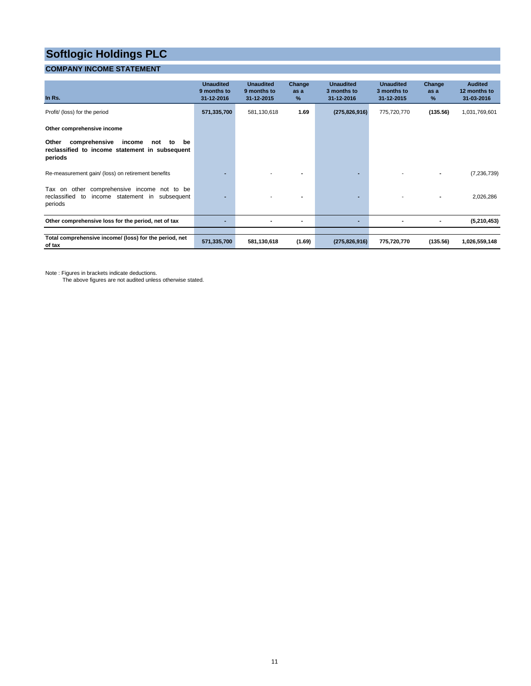#### **COMPANY INCOME STATEMENT**

| In Rs.                                                                                                               | <b>Unaudited</b><br>9 months to<br>31-12-2016 | <b>Unaudited</b><br>9 months to<br>31-12-2015 | Change<br>as a<br>% | <b>Unaudited</b><br>3 months to<br>31-12-2016 | <b>Unaudited</b><br>3 months to<br>31-12-2015 | Change<br>as a<br>% | <b>Audited</b><br>12 months to<br>31-03-2016 |
|----------------------------------------------------------------------------------------------------------------------|-----------------------------------------------|-----------------------------------------------|---------------------|-----------------------------------------------|-----------------------------------------------|---------------------|----------------------------------------------|
| Profit/ (loss) for the period                                                                                        | 571,335,700                                   | 581,130,618                                   | 1.69                | (275, 826, 916)                               | 775,720,770                                   | (135.56)            | 1,031,769,601                                |
| Other comprehensive income                                                                                           |                                               |                                               |                     |                                               |                                               |                     |                                              |
| income<br>Other<br>comprehensive<br>not<br>to<br>be<br>reclassified to income statement in subsequent<br>periods     |                                               |                                               |                     |                                               |                                               |                     |                                              |
| Re-measurement gain/ (loss) on retirement benefits                                                                   |                                               |                                               |                     |                                               |                                               |                     | (7, 236, 739)                                |
| comprehensive income not to be<br>Tax on other<br>reclassified<br>income statement in<br>subsequent<br>to<br>periods |                                               |                                               |                     |                                               |                                               |                     | 2,026,286                                    |
| Other comprehensive loss for the period, net of tax                                                                  |                                               |                                               | ٠                   | $\overline{\phantom{0}}$                      |                                               |                     | (5,210,453)                                  |
|                                                                                                                      |                                               |                                               |                     |                                               |                                               |                     |                                              |
| Total comprehensive income/ (loss) for the period, net<br>of tax                                                     | 571,335,700                                   | 581,130,618                                   | (1.69)              | (275, 826, 916)                               | 775,720,770                                   | (135.56)            | 1,026,559,148                                |

Note : Figures in brackets indicate deductions.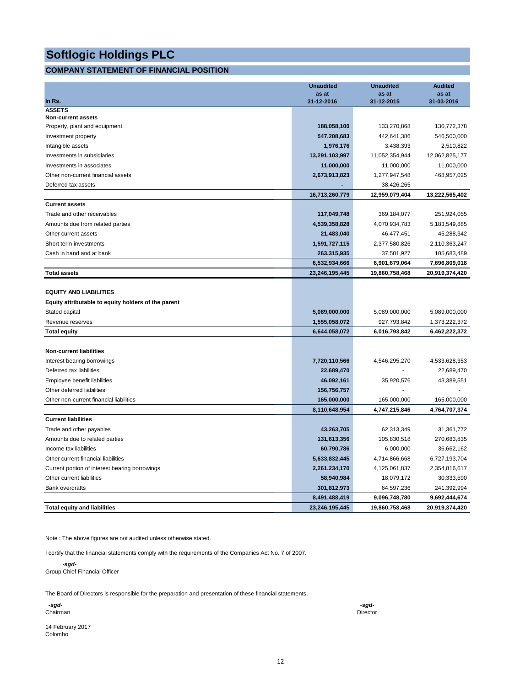### **COMPANY STATEMENT OF FINANCIAL POSITION**

|                                                     | <b>Unaudited</b>    | <b>Unaudited</b>    | <b>Audited</b>      |
|-----------------------------------------------------|---------------------|---------------------|---------------------|
| In Rs.                                              | as at<br>31-12-2016 | as at<br>31-12-2015 | as at<br>31-03-2016 |
| <b>ASSETS</b>                                       |                     |                     |                     |
| <b>Non-current assets</b>                           |                     |                     |                     |
| Property, plant and equipment                       | 188,058,100         | 133,270,868         | 130,772,378         |
| Investment property                                 | 547,208,683         | 442,641,386         | 546,500,000         |
| Intangible assets                                   | 1,976,176           | 3,438,393           | 2,510,822           |
| Investments in subsidiaries                         | 13,291,103,997      | 11,052,354,944      | 12,062,825,177      |
| Investments in associates                           | 11,000,000          | 11,000,000          | 11,000,000          |
| Other non-current financial assets                  | 2,673,913,823       | 1,277,947,548       | 468,957,025         |
| Deferred tax assets                                 |                     | 38,426,265          |                     |
|                                                     | 16,713,260,779      | 12,959,079,404      | 13,222,565,402      |
| <b>Current assets</b>                               |                     |                     |                     |
| Trade and other receivables                         | 117,049,748         | 369,184,077         | 251,924,055         |
| Amounts due from related parties                    | 4,539,358,828       | 4,070,934,783       | 5,183,549,885       |
| Other current assets                                | 21,483,040          | 46,477,451          | 45,288,342          |
| Short term investments                              | 1,591,727,115       | 2,377,580,826       | 2,110,363,247       |
| Cash in hand and at bank                            | 263,315,935         | 37,501,927          | 105,683,489         |
|                                                     | 6,532,934,666       | 6,901,679,064       | 7,696,809,018       |
| <b>Total assets</b>                                 | 23,246,195,445      | 19,860,758,468      | 20,919,374,420      |
|                                                     |                     |                     |                     |
| <b>EQUITY AND LIABILITIES</b>                       |                     |                     |                     |
| Equity attributable to equity holders of the parent |                     |                     |                     |
| Stated capital                                      | 5,089,000,000       | 5,089,000,000       | 5,089,000,000       |
| Revenue reserves                                    | 1,555,058,072       | 927,793,842         | 1,373,222,372       |
| <b>Total equity</b>                                 | 6,644,058,072       | 6,016,793,842       | 6,462,222,372       |
| <b>Non-current liabilities</b>                      |                     |                     |                     |
| Interest bearing borrowings                         | 7,720,110,566       | 4,546,295,270       | 4,533,628,353       |
| Deferred tax liabilities                            | 22,689,470          |                     | 22,689,470          |
| Employee benefit liabilities                        | 46,092,161          | 35,920,576          | 43,389,551          |
| Other deferred liabilities                          | 156,756,757         |                     |                     |
| Other non-current financial liabilities             | 165,000,000         | 165,000,000         | 165,000,000         |
|                                                     | 8,110,648,954       | 4,747,215,846       | 4,764,707,374       |
| <b>Current liabilities</b>                          |                     |                     |                     |
| Trade and other payables                            | 43,263,705          | 62,313,349          | 31,361,772          |
| Amounts due to related parties                      | 131,613,356         | 105,830,518         | 270,683,835         |
| Income tax liabilities                              |                     |                     |                     |
|                                                     | 60,790,786          | 6,000,000           | 36,662,162          |
| Other current financial liabilities                 | 5,633,832,445       | 4,714,866,668       | 6,727,193,704       |
| Current portion of interest bearing borrowings      | 2,261,234,170       | 4,125,061,837       | 2,354,816,617       |
| Other current liabilities                           | 58,940,984          | 18,079,172          | 30,333,590          |
| <b>Bank overdrafts</b>                              | 301,812,973         | 64,597,236          | 241,392,994         |
|                                                     | 8,491,488,419       | 9,096,748,780       | 9,692,444,674       |
| <b>Total equity and liabilities</b>                 | 23,246,195,445      | 19,860,758,468      | 20,919,374,420      |

Note : The above figures are not audited unless otherwise stated.

I certify that the financial statements comply with the requirements of the Companies Act No. 7 of 2007.

 *-sgd-*Group Chief Financial Officer

The Board of Directors is responsible for the preparation and presentation of these financial statements.

 *-sgd- -sgd-*Chairman Director

14 February 2017 Colombo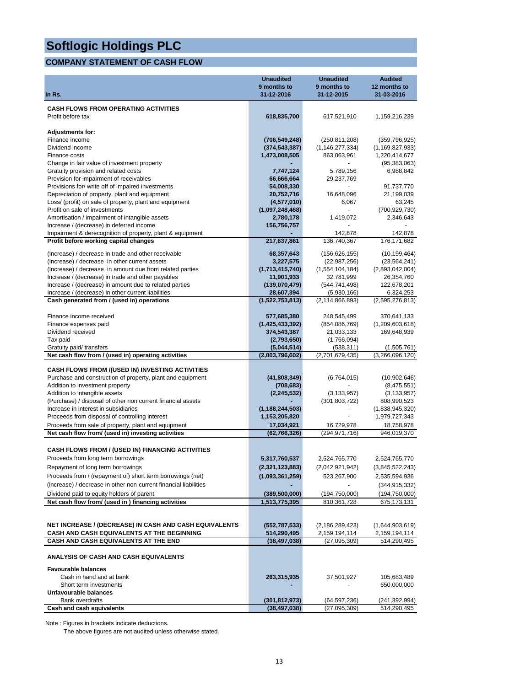### **COMPANY STATEMENT OF CASH FLOW**

|                                                                                                 | <b>Unaudited</b><br>9 months to | <b>Unaudited</b><br>9 months to | <b>Audited</b><br>12 months to |
|-------------------------------------------------------------------------------------------------|---------------------------------|---------------------------------|--------------------------------|
| In Rs.                                                                                          | 31-12-2016                      | 31-12-2015                      | 31-03-2016                     |
| <b>CASH FLOWS FROM OPERATING ACTIVITIES</b>                                                     |                                 |                                 |                                |
| Profit before tax                                                                               | 618,835,700                     | 617,521,910                     | 1,159,216,239                  |
|                                                                                                 |                                 |                                 |                                |
| <b>Adjustments for:</b>                                                                         |                                 |                                 |                                |
| Finance income                                                                                  | (706, 549, 248)                 | (250, 811, 208)                 | (359, 796, 925)                |
| Dividend income                                                                                 | (374, 543, 387)                 | (1, 146, 277, 334)              | (1, 169, 827, 933)             |
| Finance costs                                                                                   | 1,473,008,505                   | 863,063,961                     | 1,220,414,677                  |
| Change in fair value of investment property                                                     |                                 |                                 | (95, 383, 063)                 |
| Gratuity provision and related costs                                                            | 7,747,124                       | 5,789,156                       | 6,988,842                      |
| Provision for impairment of receivables<br>Provisions for/ write off of impaired investments    | 66,666,664<br>54,008,330        | 29,237,769                      | 91,737,770                     |
| Depreciation of property, plant and equipment                                                   | 20,752,716                      | 16,648,096                      | 21,199,039                     |
| Loss/ (profit) on sale of property, plant and equipment                                         | (4,577,010)                     | 6,067                           | 63,245                         |
| Profit on sale of investments                                                                   | (1,097,248,468)                 | $\blacksquare$                  | (700, 929, 730)                |
| Amortisation / impairment of intangible assets                                                  | 2,780,178                       | 1,419,072                       | 2,346,643                      |
| Increase / (decrease) in deferred income                                                        | 156,756,757                     |                                 |                                |
| Impairment & derecognition of property, plant & equipment                                       |                                 | 142,878                         | 142,878                        |
| Profit before working capital changes                                                           | 217,637,861                     | 136,740,367                     | 176, 171, 682                  |
| (Increase) / decrease in trade and other receivable                                             | 68,357,643                      | (156, 626, 155)                 | (10, 199, 464)                 |
| (Increase) / decrease in other current assets                                                   | 3,227,575                       | (22, 987, 256)                  | (23, 564, 241)                 |
| (Increase) / decrease in amount due from related parties                                        | (1,713,415,740)                 | (1,554,104,184)                 | (2,893,042,004)                |
| Increase / (decrease) in trade and other payables                                               | 11,901,933                      | 32,781,999                      | 26,354,760                     |
| Increase / (decrease) in amount due to related parties                                          | (139,070,479)                   | (544, 741, 498)                 | 122,678,201                    |
| Increase / (decrease) in other current liabilities                                              | 28,607,394                      | (5,930,166)                     | 6,324,253                      |
| Cash generated from / (used in) operations                                                      | (1,522,753,813)                 | (2, 114, 866, 893)              | (2,595,276,813)                |
| Finance income received                                                                         | 577,685,380                     | 248,545,499                     | 370,641,133                    |
| Finance expenses paid                                                                           | (1,425,433,392)                 | (854,086,769)                   | (1,209,603,618)                |
| Dividend received                                                                               | 374,543,387                     | 21,033,133                      | 169,648,939                    |
| Tax paid                                                                                        | (2,793,650)                     | (1,766,094)                     |                                |
| Gratuity paid/ transfers                                                                        | (5,044,514)                     | (538, 311)                      | (1,505,761)                    |
| Net cash flow from / (used in) operating activities                                             | (2,003,796,602)                 | (2,701,679,435)                 | (3,266,096,120)                |
| <b>CASH FLOWS FROM /(USED IN) INVESTING ACTIVITIES</b>                                          |                                 |                                 |                                |
| Purchase and construction of property, plant and equipment                                      | (41,808,349)                    | (6,764,015)                     | (10,902,646)                   |
| Addition to investment property                                                                 | (708,683)                       | ä,                              | (8,475,551)                    |
| Addition to intangible assets                                                                   | (2, 245, 532)                   | (3, 133, 957)                   | (3, 133, 957)                  |
| (Purchase) / disposal of other non current financial assets                                     |                                 | (301, 803, 722)                 | 808,990,523                    |
| Increase in interest in subsidiaries                                                            | (1, 188, 244, 503)              |                                 | (1,838,945,320)                |
| Proceeds from disposal of controlling interest                                                  | 1,153,205,820                   | ä,                              | 1,979,727,343                  |
| Proceeds from sale of property, plant and equipment                                             | 17,034,921                      | 16,729,978                      | 18,758,978                     |
| Net cash flow from/ (used in) investing activities                                              | (62, 766, 326)                  | (294, 971, 716)                 | 946,019,370                    |
| <b>CASH FLOWS FROM / (USED IN) FINANCING ACTIVITIES</b>                                         |                                 |                                 |                                |
| Proceeds from long term borrowings                                                              | 5,317,760,537                   | 2,524,765,770                   | 2,524,765,770                  |
|                                                                                                 |                                 |                                 |                                |
| Repayment of long term borrowings<br>Proceeds from / (repayment of) short term borrowings (net) | (2,321,123,883)                 | (2,042,921,942)                 | (3,845,522,243)                |
| (Increase) / decrease in other non-current financial liabilities                                | (1,093,361,259)                 | 523,267,900                     | 2,535,594,936                  |
| Dividend paid to equity holders of parent                                                       |                                 |                                 | (344, 915, 332)                |
| Net cash flow from/ (used in ) financing activities                                             | (389,500,000)<br>1,513,775,395  | (194,750,000)<br>810, 361, 728  | (194,750,000)<br>675,173,131   |
|                                                                                                 |                                 |                                 |                                |
|                                                                                                 |                                 |                                 |                                |
| NET INCREASE / (DECREASE) IN CASH AND CASH EQUIVALENTS                                          | (552, 787, 533)                 | (2, 186, 289, 423)              | (1,644,903,619)                |
| CASH AND CASH EQUIVALENTS AT THE BEGINNING                                                      | 514,290,495                     | 2,159,194,114                   | 2,159,194,114                  |
| CASH AND CASH EQUIVALENTS AT THE END                                                            | (38, 497, 038)                  | (27,095,309)                    | 514,290,495                    |
| ANALYSIS OF CASH AND CASH EQUIVALENTS                                                           |                                 |                                 |                                |
| <b>Favourable balances</b>                                                                      |                                 |                                 |                                |
| Cash in hand and at bank                                                                        | 263,315,935                     | 37,501,927                      | 105,683,489                    |
| Short term investments                                                                          |                                 |                                 | 650,000,000                    |
| Unfavourable balances                                                                           |                                 |                                 |                                |
| Bank overdrafts<br>Cash and cash equivalents                                                    | (301,812,973)<br>(38, 497, 038) | (64, 597, 236)<br>(27,095,309)  | (241,392,994)<br>514,290,495   |
|                                                                                                 |                                 |                                 |                                |

Note : Figures in brackets indicate deductions.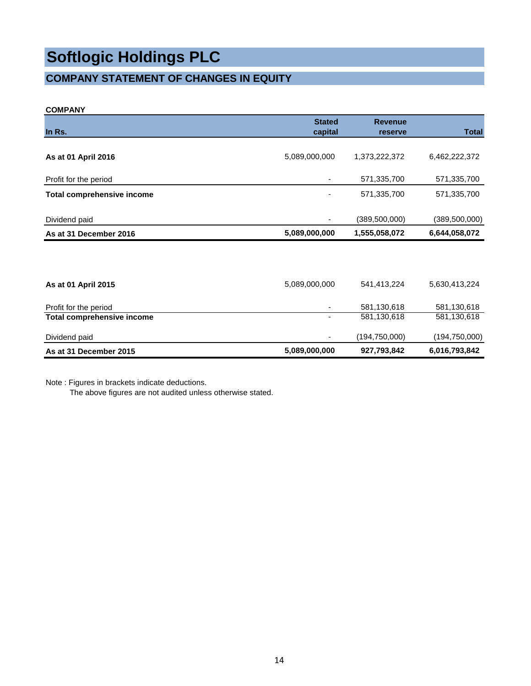### **COMPANY STATEMENT OF CHANGES IN EQUITY**

#### **COMPANY**

|                                   | <b>Stated</b>            | <b>Revenue</b>  |                 |
|-----------------------------------|--------------------------|-----------------|-----------------|
| In Rs.                            | capital                  | reserve         | <b>Total</b>    |
|                                   |                          |                 |                 |
| As at 01 April 2016               | 5,089,000,000            | 1,373,222,372   | 6,462,222,372   |
|                                   |                          |                 |                 |
| Profit for the period             |                          | 571,335,700     | 571,335,700     |
| <b>Total comprehensive income</b> |                          | 571,335,700     | 571,335,700     |
|                                   |                          |                 |                 |
| Dividend paid                     | $\overline{\phantom{a}}$ | (389, 500, 000) | (389, 500, 000) |
| As at 31 December 2016            | 5,089,000,000            | 1,555,058,072   | 6,644,058,072   |
|                                   |                          |                 |                 |
|                                   |                          |                 |                 |
| As at 01 April 2015               | 5,089,000,000            | 541,413,224     | 5,630,413,224   |
|                                   |                          |                 |                 |
| Profit for the period             |                          | 581,130,618     | 581,130,618     |
| <b>Total comprehensive income</b> | $\overline{\phantom{a}}$ | 581,130,618     | 581,130,618     |
| Dividend paid                     |                          | (194, 750, 000) | (194, 750, 000) |
| As at 31 December 2015            | 5,089,000,000            | 927,793,842     | 6,016,793,842   |

Note : Figures in brackets indicate deductions.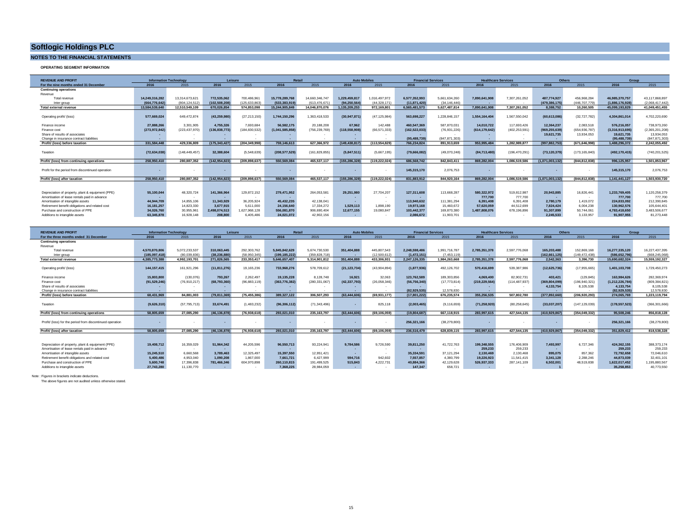#### **NOTES TO THE FINANCIAL STATEMENTS**

#### **OPERATING SEGMENT INFORMATION**

| 2016           | 2015                                                                                         | 2016                                                                                                                                                        | 2015                                                                                                      | 2016                                                                                                                              | 2015                                                                                                           | 2016                                                                                                                     | 2015                                                                                                    | 2016                                                                                                                                                           | 2015                                                                                                                                     | 2016                                                                                                                                                                     | 2015                                                                                                        | 2016                                                                                                                                                | 2015                                                                                                                   | 2016                                                                                                                                         | 2015                                                                                                                                                                    |
|----------------|----------------------------------------------------------------------------------------------|-------------------------------------------------------------------------------------------------------------------------------------------------------------|-----------------------------------------------------------------------------------------------------------|-----------------------------------------------------------------------------------------------------------------------------------|----------------------------------------------------------------------------------------------------------------|--------------------------------------------------------------------------------------------------------------------------|---------------------------------------------------------------------------------------------------------|----------------------------------------------------------------------------------------------------------------------------------------------------------------|------------------------------------------------------------------------------------------------------------------------------------------|--------------------------------------------------------------------------------------------------------------------------------------------------------------------------|-------------------------------------------------------------------------------------------------------------|-----------------------------------------------------------------------------------------------------------------------------------------------------|------------------------------------------------------------------------------------------------------------------------|----------------------------------------------------------------------------------------------------------------------------------------------|-------------------------------------------------------------------------------------------------------------------------------------------------------------------------|
|                |                                                                                              |                                                                                                                                                             |                                                                                                           |                                                                                                                                   |                                                                                                                |                                                                                                                          |                                                                                                         |                                                                                                                                                                |                                                                                                                                          |                                                                                                                                                                          |                                                                                                             |                                                                                                                                                     |                                                                                                                        |                                                                                                                                              |                                                                                                                                                                         |
|                |                                                                                              |                                                                                                                                                             |                                                                                                           |                                                                                                                                   |                                                                                                                |                                                                                                                          |                                                                                                         |                                                                                                                                                                |                                                                                                                                          |                                                                                                                                                                          |                                                                                                             |                                                                                                                                                     |                                                                                                                        |                                                                                                                                              |                                                                                                                                                                         |
| 14.249.316.282 | 13.314.673.621                                                                               | 772.535.062                                                                                                                                                 | 700.486.961                                                                                               | 15,778,289,768                                                                                                                    | 14.660.346.747                                                                                                 | 1.229.459.81                                                                                                             | .016.497.972                                                                                            | 6,577,352,993                                                                                                                                                  | 5.661.634.260                                                                                                                            | 7.890.641.908                                                                                                                                                            | 7.307.261.052                                                                                               | 487.774.927                                                                                                                                         | 456.968.284                                                                                                            | 46.985.370.757                                                                                                                               | 43.117.868.897                                                                                                                                                          |
| (664,776,642)  | (804.124.512)                                                                                | (102.508.208                                                                                                                                                | 125 633 863                                                                                               | (533.383.919                                                                                                                      | (613 476 67)                                                                                                   | (94.250.564                                                                                                              |                                                                                                         | (11.871.420)                                                                                                                                                   | (34.146.446)                                                                                                                             |                                                                                                                                                                          |                                                                                                             | (479.386.175                                                                                                                                        | (446 707 779)                                                                                                          | (1.886.176.928)                                                                                                                              | (2.068.417.442)                                                                                                                                                         |
| 13.584.539.640 |                                                                                              |                                                                                                                                                             |                                                                                                           |                                                                                                                                   |                                                                                                                |                                                                                                                          |                                                                                                         |                                                                                                                                                                |                                                                                                                                          |                                                                                                                                                                          |                                                                                                             |                                                                                                                                                     |                                                                                                                        |                                                                                                                                              | 41.049.451.455                                                                                                                                                          |
|                |                                                                                              |                                                                                                                                                             |                                                                                                           |                                                                                                                                   |                                                                                                                |                                                                                                                          |                                                                                                         |                                                                                                                                                                |                                                                                                                                          |                                                                                                                                                                          |                                                                                                             |                                                                                                                                                     |                                                                                                                        |                                                                                                                                              |                                                                                                                                                                         |
|                |                                                                                              |                                                                                                                                                             |                                                                                                           |                                                                                                                                   |                                                                                                                |                                                                                                                          |                                                                                                         |                                                                                                                                                                |                                                                                                                                          |                                                                                                                                                                          |                                                                                                             |                                                                                                                                                     |                                                                                                                        |                                                                                                                                              | 4.702.220.690                                                                                                                                                           |
|                |                                                                                              |                                                                                                                                                             |                                                                                                           |                                                                                                                                   |                                                                                                                |                                                                                                                          |                                                                                                         |                                                                                                                                                                |                                                                                                                                          |                                                                                                                                                                          |                                                                                                             |                                                                                                                                                     |                                                                                                                        |                                                                                                                                              |                                                                                                                                                                         |
|                |                                                                                              |                                                                                                                                                             |                                                                                                           |                                                                                                                                   |                                                                                                                |                                                                                                                          |                                                                                                         |                                                                                                                                                                |                                                                                                                                          |                                                                                                                                                                          |                                                                                                             |                                                                                                                                                     |                                                                                                                        |                                                                                                                                              | 738,973,260                                                                                                                                                             |
|                |                                                                                              |                                                                                                                                                             |                                                                                                           |                                                                                                                                   |                                                                                                                |                                                                                                                          |                                                                                                         |                                                                                                                                                                |                                                                                                                                          |                                                                                                                                                                          |                                                                                                             |                                                                                                                                                     |                                                                                                                        |                                                                                                                                              | (2,365,201,208)                                                                                                                                                         |
|                |                                                                                              |                                                                                                                                                             |                                                                                                           |                                                                                                                                   |                                                                                                                |                                                                                                                          | . .                                                                                                     |                                                                                                                                                                |                                                                                                                                          |                                                                                                                                                                          |                                                                                                             |                                                                                                                                                     |                                                                                                                        |                                                                                                                                              | 13.934.053                                                                                                                                                              |
|                |                                                                                              |                                                                                                                                                             |                                                                                                           |                                                                                                                                   |                                                                                                                |                                                                                                                          |                                                                                                         |                                                                                                                                                                |                                                                                                                                          |                                                                                                                                                                          |                                                                                                             |                                                                                                                                                     |                                                                                                                        |                                                                                                                                              | (847.871.303                                                                                                                                                            |
|                |                                                                                              |                                                                                                                                                             |                                                                                                           |                                                                                                                                   |                                                                                                                |                                                                                                                          |                                                                                                         |                                                                                                                                                                |                                                                                                                                          |                                                                                                                                                                          |                                                                                                             |                                                                                                                                                     |                                                                                                                        |                                                                                                                                              | 2,242,055,492                                                                                                                                                           |
|                |                                                                                              |                                                                                                                                                             |                                                                                                           |                                                                                                                                   |                                                                                                                |                                                                                                                          |                                                                                                         |                                                                                                                                                                |                                                                                                                                          |                                                                                                                                                                          |                                                                                                             |                                                                                                                                                     |                                                                                                                        |                                                                                                                                              |                                                                                                                                                                         |
|                |                                                                                              |                                                                                                                                                             |                                                                                                           |                                                                                                                                   |                                                                                                                |                                                                                                                          |                                                                                                         |                                                                                                                                                                |                                                                                                                                          |                                                                                                                                                                          |                                                                                                             |                                                                                                                                                     |                                                                                                                        |                                                                                                                                              | (740,201,525)                                                                                                                                                           |
|                |                                                                                              |                                                                                                                                                             |                                                                                                           |                                                                                                                                   |                                                                                                                |                                                                                                                          |                                                                                                         |                                                                                                                                                                |                                                                                                                                          |                                                                                                                                                                          |                                                                                                             |                                                                                                                                                     |                                                                                                                        |                                                                                                                                              | 1,501,853,967                                                                                                                                                           |
|                |                                                                                              |                                                                                                                                                             |                                                                                                           |                                                                                                                                   |                                                                                                                |                                                                                                                          |                                                                                                         |                                                                                                                                                                |                                                                                                                                          |                                                                                                                                                                          |                                                                                                             |                                                                                                                                                     |                                                                                                                        |                                                                                                                                              |                                                                                                                                                                         |
|                |                                                                                              |                                                                                                                                                             |                                                                                                           |                                                                                                                                   |                                                                                                                |                                                                                                                          |                                                                                                         |                                                                                                                                                                |                                                                                                                                          |                                                                                                                                                                          |                                                                                                             |                                                                                                                                                     |                                                                                                                        |                                                                                                                                              | 2,076,753                                                                                                                                                               |
|                |                                                                                              |                                                                                                                                                             |                                                                                                           |                                                                                                                                   |                                                                                                                |                                                                                                                          |                                                                                                         |                                                                                                                                                                |                                                                                                                                          |                                                                                                                                                                          |                                                                                                             |                                                                                                                                                     |                                                                                                                        |                                                                                                                                              |                                                                                                                                                                         |
| 258,950,410    | 280.887.352                                                                                  | (142,954,823                                                                                                                                                | (209.898.637)                                                                                             | 550,569,084                                                                                                                       | 465.537.117                                                                                                    | (155,286,328)                                                                                                            | (119.222.024)                                                                                           | 831.883.912                                                                                                                                                    | 844.920.164                                                                                                                              | 869.282.004                                                                                                                                                              | 1.086.519.586                                                                                               | (1.071.003.132)                                                                                                                                     | (844.812.838)                                                                                                          | 1.141.441.127                                                                                                                                | 1,503,930,720                                                                                                                                                           |
|                |                                                                                              |                                                                                                                                                             |                                                                                                           |                                                                                                                                   |                                                                                                                |                                                                                                                          |                                                                                                         |                                                                                                                                                                |                                                                                                                                          |                                                                                                                                                                          |                                                                                                             |                                                                                                                                                     |                                                                                                                        |                                                                                                                                              |                                                                                                                                                                         |
|                |                                                                                              |                                                                                                                                                             |                                                                                                           |                                                                                                                                   |                                                                                                                |                                                                                                                          |                                                                                                         |                                                                                                                                                                |                                                                                                                                          |                                                                                                                                                                          |                                                                                                             |                                                                                                                                                     |                                                                                                                        |                                                                                                                                              |                                                                                                                                                                         |
| 55.100.044     | 48.320.724                                                                                   | 141,366,964                                                                                                                                                 | 129.872.152                                                                                               | 279.471.952                                                                                                                       | 264.053.581                                                                                                    | 29.251.980                                                                                                               |                                                                                                         | 127.311.608                                                                                                                                                    | 113,668,287                                                                                                                              | 580.322.972                                                                                                                                                              | 519.812.987                                                                                                 | 20.943.885                                                                                                                                          | 16,826,441                                                                                                             | 1,233,769,405                                                                                                                                | 1,120,258,379                                                                                                                                                           |
|                | $\sim$                                                                                       |                                                                                                                                                             |                                                                                                           |                                                                                                                                   | $\sim$                                                                                                         |                                                                                                                          |                                                                                                         | . .                                                                                                                                                            | <b>Contract Contract Contract</b>                                                                                                        | 777.700                                                                                                                                                                  | 777,700                                                                                                     | <b>COL</b>                                                                                                                                          | $\sim$                                                                                                                 | 777,700                                                                                                                                      | 777,700                                                                                                                                                                 |
| 44.944.709     |                                                                                              | 11.343.929                                                                                                                                                  |                                                                                                           | 45.432.235                                                                                                                        | 42.138.041                                                                                                     |                                                                                                                          | . .                                                                                                     | 113.940.632                                                                                                                                                    | 111.381.294                                                                                                                              | 6.391.408                                                                                                                                                                | 6.391.408                                                                                                   | 2.780.179                                                                                                                                           | 1.419.072                                                                                                              | 224.833.092                                                                                                                                  | 212.390.845                                                                                                                                                             |
| 16.181.257     | 14.823.330                                                                                   | 3.677.915                                                                                                                                                   | 5.611.000                                                                                                 | 24.156.640                                                                                                                        | 17.334.272                                                                                                     | 1.529.113                                                                                                                | 1,898,190                                                                                               | 19.973.168                                                                                                                                                     | 15,460,672                                                                                                                               | 57.620.059                                                                                                                                                               | 44.512.699                                                                                                  | 7.824.424                                                                                                                                           | 6.004.238                                                                                                              | 130.962.576                                                                                                                                  | 105.644.401                                                                                                                                                             |
| 34.026.760     | 30.955.961                                                                                   | 2.498.074.513                                                                                                                                               | 1.627.968.128                                                                                             | 556.081.870                                                                                                                       | 906.690.404                                                                                                    | 12.677.155                                                                                                               | 19,080.847                                                                                              | 103.442.377                                                                                                                                                    | 169,870,380                                                                                                                              | 1.487.808.076                                                                                                                                                            | 678.196.896                                                                                                 | 91.307.899                                                                                                                                          | 50.744.061                                                                                                             | 4.783.418.650                                                                                                                                | 3.483.506.677                                                                                                                                                           |
| 63.345.878     | 16.928.148                                                                                   | 208,800                                                                                                                                                     | 6,405,486                                                                                                 | 24.021.072                                                                                                                        | 42.902.156                                                                                                     | . .                                                                                                                      |                                                                                                         | 2.086.672                                                                                                                                                      | 11.903.701                                                                                                                               | $\sim$                                                                                                                                                                   |                                                                                                             | 2.245.533                                                                                                                                           | 3.133.957                                                                                                              | 91.907.955                                                                                                                                   | 81.273.448                                                                                                                                                              |
|                | 577.669.024<br>27,888,266<br>(273, 972, 842)<br>331.584.448<br>(72, 634, 038)<br>258.950.410 | <b>Information Technology</b><br>12.510.549.109<br>649.472.874<br>3.301.905<br>(223, 437, 970)<br>429.336.809<br>(148.449.457)<br>280.887.352<br>14.855.106 | 670.026.854<br>(43, 259, 980)<br>4.755.326<br>(136,838,773<br>(175,343,427<br>32,388,604<br>(142,954,823) | Leisure<br>574.853.098<br>(27.213.150)<br>7693684<br>(184,830,532)<br>(204.349.998)<br>(5.548.639)<br>(209.898.637)<br>36.205.924 | 15.244.905.849<br>1.744.150.296<br>56.582.175<br>(1,041,585,858)<br>759.146.613<br>(208,577,529<br>550.569.084 | Retail<br>14.046.870.076<br>1.363.418.533<br>20.188.208<br>(756,239,769<br>627.366.972<br>(161, 829, 855)<br>465.537.117 | 1.135.209.253<br>(30.947.871<br>67.962<br>(118,558,908<br>(149.438.817)<br>(5,847,511)<br>(155,286,328) | <b>Auto Mobiles</b><br>(44.328.171)<br>972.169.801<br>(47, 125, 984)<br>142,488<br>(66.571.333)<br>(113.554.829)<br>(5,667,195)<br>(119.222.024)<br>27.704.207 | 6.565.481.573<br>563.698.227<br>460.547.369<br>(162,522,033)<br>(95.488.739<br>766.234.824<br>(79,666,082)<br>686,568,742<br>145,315,170 | <b>Financial Services</b><br>5.627.487.814<br>1.228.846.157<br>587.870.031<br>(76, 931, 226)<br>(847.871.303)<br>891.913.659<br>(49,070,248)<br>842.843.411<br>2.076.753 | 7.890.641.908<br>1.554.164.404<br>14.010.722<br>(614.179.642)<br>953.995.484<br>(84,713,480)<br>869.282.004 | <b>Healthcare Services</b><br>7.307.261.052<br>1.567.550.042<br>117,693,426<br>(402, 253, 591)<br>1.282.989.877<br>(196, 470, 291)<br>1.086.519.586 | 8.388.752<br>(60.613.08<br>12,364,237<br>(969,255,639<br>19,621,735<br>(997.882.753)<br>(73,120,379<br>(1.071.003.132) | <b>Others</b><br>10.260.505<br>(32.727.782)<br>2.083.518<br>(654.936.787)<br>13.934.053<br>(671.646.998)<br>(173, 165, 840)<br>(844.812.838) | Group<br>45.099.193.829<br>4.304.861.014<br>576.216.057<br>(3,316,913,695)<br>19.621.735<br>(95,488,739<br>1.488.296.372<br>(492,170,415)<br>996.125.957<br>145,315,170 |

| <b>REVENUE AND PROFIT</b>                                 |               | <b>Information Technology</b> |                | Leisure      | Retail                   |                |                | <b>Auto Mobiles</b> | <b>Financial Services</b> |                | <b>Healthcare Services</b> |               | Others          |               | Group           |                |
|-----------------------------------------------------------|---------------|-------------------------------|----------------|--------------|--------------------------|----------------|----------------|---------------------|---------------------------|----------------|----------------------------|---------------|-----------------|---------------|-----------------|----------------|
| For the three months ended 31 December                    | 2016          | 2015                          | 2016           | 2015         | 2016                     | 2015           | 2016           | 2015                | 2016                      | 2015           | 2016                       | 2015          | 2016            | 2015          | 2016            | 2015           |
| <b>Continuing operations</b>                              |               |                               |                |              |                          |                |                |                     |                           |                |                            |               |                 |               |                 |                |
| Revenue                                                   |               |                               |                |              |                          |                |                |                     |                           |                |                            |               |                 |               |                 |                |
| Total revenue                                             | 4.570.870.806 | 5.072.233.537                 | 310.063.445    | 292.303.762  | 5.845.842.629            | 5.674.730.530  | 351.404.888    | 445.807.543         | 2.248.598.486             | 1.991.716.787  | 2.785.351.378              | 2.597.776.068 | 165,203,488     | 152.869.168   | 16,277,335,120  | 16.227.437.395 |
| Inter group                                               | (185,097,418) | (80.039.836)                  | (38, 236, 88)  | (58.950.345) | (199, 185, 222           | (359.828.718)  |                | (12.500.612)        | (1,472,151)               | (7.453.119)    |                            |               | (162, 661, 125) | (149.472.438) | (586,652,796)   | (668,245,068   |
| <b>Total external revenue</b>                             | 4.385.773.388 | 4.992.193.701                 | 271.826.565    | 233.353.417  | 5.646.657.407            | 5.314.901.812  | 351.404.888    | 433.306.931         | 2.247.126.335             | 1.984.263.668  | 2.785.351.378              | 2.597.776.068 | 2.542.363       | 3.396.730     | 15.690.682.324  | 15.559.192.327 |
| Operating profit/ (loss)                                  | 144, 157, 415 | 161,921,296                   | (11, 811, 276) | 19.165.236   | 733.968.276              | 578,709.612    | (21.123.734)   | (43,904,894)        | (1.877.936)               | 492.126.702    | 570.416.699                | 539,387,986   | (12.625.736)    | (17.955.665)  | 1.401.103.708   | 1.729.450.273  |
| Finance income                                            | 15,803,800    | (130, 076)                    | 793.267        | 2.262.497    | 19.135.228               | 8.128.748      | 16.921         | 32.063              | 123,762,589               | 189.303.856    | 4.069.400                  | 82.902.731    | 403.421         | (129, 845)    | 163.984.626     | 282,369,974    |
| Finance cost                                              | (91.529.246)  | (76.910.217)                  | (68,793,360    | (96.883.119) | (363, 776, 382)          | (280,331,067)  | (42.337.793)   | (26.058.346)        | (56,756,340)              | (17.773.814)   | (219.229.564)              | (114.487.937) | (369.804.099)   | (196.940.321) | (1.212.226.784) | (809.384.821)  |
| Share of results of associates                            |               |                               |                |              |                          |                |                |                     |                           |                |                            |               | 4,133,754       | 8.105.538     | 4.133.754       | 8.105.538      |
| Change in insurance contract liabilities                  |               |                               |                |              |                          |                |                |                     | (82.929.535)              | 12.578.830     |                            |               |                 |               | (82.929.535)    | 12.578.830     |
| Profit/ (loss) before taxation                            | 68.431.969    | 84.881.003                    | (79.811.369)   | (75.455.386) | 389.327.122              | 306.507.293    | (63, 444, 606) | (69.931.177)        | (17.801.222)              | 676.235.574    | 355.256.535                | 507.802.780   | (377.892.660    | (206.920.293) | 274.065.769     | 1.223.119.794  |
| Taxation                                                  | (9,626,310)   | (57.795.713)                  | 33.674.491     | (1,483,232)  | (96, 306, 112)           | (71, 343, 496) |                | 825.118             | (2,003,465)               | (9, 116, 659)  | (71, 258, 920)             | (80.258.645)  | (33,037,207)    | (147.129.039) | (178, 557, 523) | (366.301.666)  |
| Profit/ (loss) from continuing operations                 | 58.805.659    | 27.085.290                    | (46,136,878)   | (76.938.618) | 293.021.010              | 235.163.797    | (63.444.606)   | (69.106.059)        | (19,804,687)              | 667.118.915    | 283,997,615                | 427.544.135   | (410.929.867)   | (354.049.332) | 95.508.246      | 856.818.128    |
| Profit/ (loss) for the period from discontinued operation |               |                               |                |              |                          | $\sim$         |                |                     | 256.321.166               | (38, 279, 800) |                            |               |                 |               | 256.321.166     | (38, 279, 800) |
| Profit/ (loss) after taxation                             | 58.805.659    | 27.085.290                    | (46,136,878    | (76.938.618) | 293.021.010              | 235.163.797    | (63, 444, 606) | (69.106.059)        | 236.516.479               | 628.839.115    | 283,997,615                | 427.544.135   | (410.929.867)   | (354.049.332) | 351.829.412     | 818,538,328    |
|                                                           |               |                               |                |              |                          |                |                |                     |                           |                |                            |               |                 |               |                 |                |
| Depreciation of property, plant & equipment (PPE)         | 19,408.712    | 16,359,029                    | 51.964.342     | 44.205.596   | 96,550,713               | 93.224.941     | 9.784.586      | 9,726,590           | 39.811.250                | 41.722.763     | 199.348.555                | 176,406,909   | 7.493.997       | 6.727.346     | 424.362.155     | 388, 373, 174  |
| Amortisation of lease rentals paid in advance             |               |                               |                |              | $\overline{\phantom{a}}$ |                |                | $\sim$              |                           |                | 259.233                    | 259.233       |                 | . .           | 259,233         | 259.233        |
| Amortisation of intangible assets                         | 15,245,510    | 6,660,568                     | 3,789,463      | 12.325.497   | 15,397,550               | 12.951.421     |                |                     | 35,334,591                | 37, 121, 294   | 2,130,469                  | 2,130,468     | 895,075         | 857.362       | 72.792.658      | 72,046,610     |
| Retirement benefit obligations and related cost           | 5,400,486     | 4.953.040                     | 1.090.208      | 1.867.000    | 7.661.721                | 6.427.999      | 594.716        | 942.602             | 7.557.857                 | 4.380.799      | 19.226.923                 | 11.541.415    | 3.341.128       | 2.288.246     | 44.873.039      | 32,401.10      |
| Purchase and construction of PPF                          | 5.600.748     | 17.396.838                    | 781,466,346    | 604.970.898  | 260.110.815              | 191,499,525    | 515,843        | 4.222.731           | 40.884.366                | 42,129,628     | 526,937,333                | 287.141.109   | 6,502.001       | 48.519.838    | 1,622,017,452   | 1,195,880,567  |
| Additions to intangible assets                            | 27.743.280    | 11,130,770                    |                |              | 7,368,225                | 28.984.059     |                |                     | 147.347                   | 658.721        |                            |               |                 |               | 35.258.853      | 40,773,550     |

Note : Figures in brackets indicate deductions. The above figures are not audited unless otherwise stated.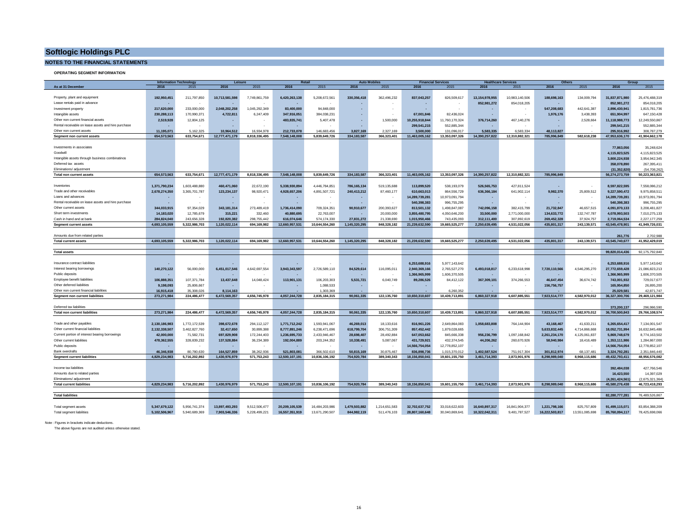#### **NOTES TO THE FINANCIAL STATEMENTS**

**OPERATING SEGMENT INFORMATION**

|                                                     | <b>Information Technolog</b> |               | Leisure<br>Retail |               | <b>Auto Mobil</b><br><b>Financial Services</b> |                | <b>Healthcare Services</b> |               | Others<br>Group |                |                |                |                |                |                    |                 |
|-----------------------------------------------------|------------------------------|---------------|-------------------|---------------|------------------------------------------------|----------------|----------------------------|---------------|-----------------|----------------|----------------|----------------|----------------|----------------|--------------------|-----------------|
| As at 31 December                                   | 2016                         | 2015          | 2016              | 2015          | 2016                                           | 2015           | 2016                       | 2015          | 2016            | 2015           | 2016           | 2015           | 2016           | 2015           | 2016               | 2015            |
|                                                     |                              |               |                   |               |                                                |                |                            |               |                 |                |                |                |                |                |                    |                 |
| Property, plant and equipment                       | 192.950.451                  | 211,797,850   | 10.713.581.598    | 7.749.861.759 | 6.420.263.138                                  | 5.208.672.561  | 330.356.418                | 362.496.232   | 837.043.257     | 826,509.617    | 13.154.978.955 | 10.983.140.506 | 188.698.163    | 134.009.794    | 31.837.871.980     | 25.476.488.319  |
| Lease rentals paid in advance                       |                              |               |                   |               |                                                |                |                            |               |                 |                | 852,981,272    | 854,018,205    |                |                | 852,981,272        | 854,018,205     |
| Investment property                                 | 217,620,000                  | 233,000,000   | 2,048,202,258     | 1,045,292,349 | 83,400,000                                     | 94,848,000     |                            |               |                 |                |                |                | 547,208,683    | 442,641,387    | 2,896,430,941      | 1,815,781,736   |
| Intangible assets                                   | 230,288,113                  | 170,990,371   | 4,722,811         | 6,247,409     | 347,916,051                                    | 384,038,231    |                            |               | 67,001,846      | 82,436,024     |                |                | 1,976,176      | 3,438,393      | 651,904,997        | 647,150,428     |
| Other non current financial assets                  | 2,519,928                    | 12,804,125    |                   |               | 483.835.741                                    | 5,407,478      |                            | 1,500,000     | 10,255,918,844  | 11,760,170,324 | 376,714,260    | 467,140,276    |                | 2,528,664      | 11,118,988,773     | 12,249,550,867  |
|                                                     |                              |               |                   |               |                                                |                |                            |               |                 |                |                |                |                |                |                    |                 |
| Rental receivable on lease assets and hire purchase |                              |               |                   |               |                                                |                |                            |               | 299.541.215     | 552.885.344    |                |                |                |                | 299.541.215        | 552.885.344     |
| Other non current assets                            | 11.195.071                   | 5.162.325     | 10.964.512        | 16.934.978    | 212.733.078                                    | 146,683,456    | 3.827.169                  | 2.327.169     | 3.500.000       | 131.096.017    | 5.583.335      | 6.583.334      | 48.113.827     |                | 295.916.992        | 308,787,279     |
| Segment non current assets                          | 654,573,563                  | 633,754,671   | 12,777,471,179    | 8,818,336,495 | 7,548,148,008                                  | 5,839,649,726  | 334, 183, 587              | 366,323,401   | 11,463,005,162  | 13,353,097,326 | 14,390,257,822 | 12,310,882,321 | 785,996,849    | 582,618,238    | 47,953,636,170     | 41,904,662,178  |
|                                                     |                              |               |                   |               |                                                |                |                            |               |                 |                |                |                |                |                |                    |                 |
| Investments in associates                           |                              |               |                   |               |                                                |                |                            |               |                 |                |                |                |                |                | 77,863,056         | 35,248,624      |
| Goodwill                                            |                              |               |                   |               |                                                |                |                            |               |                 |                |                |                |                |                | 4,115,823,525      | 4,115,823,525   |
| Intangible assets through business combinatinos     |                              |               |                   |               |                                                |                |                            |               |                 |                |                |                |                |                | 3,800,224,938      | 3,954,942,345   |
| Deferred tax assets                                 |                              |               |                   |               |                                                |                |                            |               |                 |                |                |                |                |                | 358.078.890        | 267,395,411     |
| Fliminations/ adjustment                            |                              |               |                   |               |                                                |                |                            |               |                 |                |                |                |                |                | (31.352.820        | (54.708.262)    |
| <b>Total non current assets</b>                     | 654.573.563                  | 633.754.671   | 12,777,471,179    | 8,818,336,495 | 7,548,148,008                                  | 5,839,649,726  | 334, 183, 587              | 366,323,401   | 11,463,005,162  | 13,353,097,326 | 14,390,257,822 | 12,310,882,321 | 785,996,849    |                | 56,274,273,759     | 50,223,363,821  |
|                                                     |                              |               |                   |               |                                                |                |                            |               |                 |                |                |                |                |                |                    |                 |
|                                                     |                              |               |                   |               |                                                |                |                            |               |                 |                |                |                |                |                |                    |                 |
| Inventories                                         | 1,371,790,234                | 1,603,488,880 | 460,471,060       | 22,672,190    | 5.338.930.894                                  | 4,446,784,851  | 786, 165, 134              | 519,135,688   | 113,899,520     | 538,193,079    | 526,565,753    | 427,811,524    |                |                | 8,597,822,595      | 7,558,086,212   |
| Trade and other receivables                         | 2,678,274,350                | 3,365,701,787 | 123,234,137       | 98,920,471    | 4,928,657,206                                  | 4,891,507,721  | 240,413,212                | 87,460,177    | 610.663.013     | 864,556,729    | 636,366,184    | 641,902,114    | 9.982.370      | 25,809,512     | 9,227,590,472      | 9,975,858,511   |
| Loans and advances                                  |                              |               |                   |               | ×.                                             |                | $\sim$                     |               | 14,289,739,281  | 10,973,091,794 |                |                |                |                | 14.289.739.281     | 10,973,091,794  |
| Rental receivable on lease assets and hire purchase |                              | ×.            |                   | ٠.            | ×.                                             | ×              | $\sim$                     |               | 540.398.383     | 996,755,295    |                |                |                | . .            | 540.398.383        | 996,755,295     |
| Other current assets                                | 344.033.915                  | 97,354,029    | 343, 181, 314     | 273,489,419   | 1,736,414,090                                  | 709,324,351    | 90,910,677                 | 200,393,627   | 813,501,132     | 1,498,847,087  | 742.096.158    | 382,415,799    | 21.732.847     | 46,657,515     | 4,091,870,133      | 3,208,481,827   |
| Short term investments                              | 14.183.020                   | 12.785.679    | 315,221           | 332.460       | 40,880,695                                     | 22,763,007     | н.                         | 20,000,000    | 3.855.480.795   | 4,050,646,200  | 33,500,000     | 2,771,000,000  | 134,633,772    | 132,747,787    | 4.078.993.503      | 7,010,275,133   |
| Cash in hand and at bank                            | 284.824.040                  | 243.656.328   | 192.820.382       | 298.755.442   | 616.074.646                                    | 574.174.330    | 27,831,272                 | 21.338.690    | 1,015,950,466   | 743.435.093    | 312.111.400    | 307.892.619    | 269.452.328    | 37.924.757     | 2.719.064.534      | 2,227,177,259   |
| <b>Segment current assets</b>                       | 4,693,105,559                | 5,322,986,703 | 1,120,022,114     | 694,169,982   | 12,660,957,531                                 | 10,644,554,260 | 1,145,320,295              | 848,328,182   | 21,239,632,590  | 19,665,525,277 | 2,250,639,495  | 4,531,022,056  | 435,801,317    | 243,139,571    | 43,545,478,901     | 41,949,726,031  |
|                                                     |                              |               |                   |               |                                                |                |                            |               |                 |                |                |                |                |                |                    |                 |
|                                                     |                              |               |                   |               |                                                |                |                            |               |                 |                |                |                |                |                |                    |                 |
| Amounts due from related parties                    |                              |               |                   |               |                                                |                |                            |               |                 |                |                |                |                |                | 261,776            | 2,702,988       |
| <b>Total current assets</b>                         | 4.693.105.559                | 5,322,986,703 | 1,120,022,114     | 694,169,982   | 12,660,957,531                                 | 10,644,554,260 | 1,145,320,295              | 848,328,182   | 21,239,632,590  | 19,665,525,277 | 2,250,639,495  | 4,531,022,056  | 435,801,317    | 243,139,571    | 43,545,740,677     | 41,952,429,019  |
|                                                     |                              |               |                   |               |                                                |                |                            |               |                 |                |                |                |                |                |                    |                 |
| <b>Total assets</b>                                 |                              |               |                   |               |                                                |                |                            |               |                 |                |                |                |                |                | 99,820,014,436     | 92,175,792,840  |
|                                                     |                              |               |                   |               |                                                |                |                            |               |                 |                |                |                |                |                |                    |                 |
| Insurance contract liabilities                      |                              |               |                   |               | ٠                                              |                |                            |               | 6.253.688.916   | 5,977,143,642  |                |                |                |                | 6,253,688,916      | 5,977,143,642   |
| Interest bearing borrowings                         | 140,270,122                  | 56,000,000    | 6,451,017,546     | 4,642,697,554 | 3,943,343,597                                  | 2,726,589,110  | 84,529,614                 | 116,095,011   | 2,940,369,166   | 2,765,527,270  | 6,493,018,817  | 6,233,618,998  | 7,720,110,566  | 4,546,295,270  | 27,772,659,428     | 21,086,823,213  |
| Public deposits                                     |                              |               |                   |               |                                                |                |                            |               | 1,366,965,999   | 1,606,370,505  |                |                |                |                | 1,366,965,999      | 1,606,370,505   |
| Employee benefit liabilities                        | 106,888,351                  | 107,371,784   | 13,437,648        | 14,048,424    | 113,901,131                                    | 106,203,303    | 5,531,721                  | 6,040,749     | 89,286,526      | 84,412,122     | 367,309,101    | 374,266,553    | 46,647,454     | 36,674,742     | 743,001,932        | 729,017,677     |
| Other deferred liabilities                          | 9,198,093                    | 25,806,667    |                   |               | н.                                             | 1,088,533      | ÷.                         |               |                 |                |                |                | 156,756,757    |                | 165,954,850        | 26,895,200      |
| Other non current financial liabilities             | 16,915,418                   | 35.308.026    | 8.114.163         |               | ×.                                             | 1.303.369      |                            |               |                 | 6.260.352      |                |                |                |                | 25.029.581         | 42.871.747      |
| <b>Seament non current liabilities</b>              | 273.271.984                  | 224.486.477   | 6.472.569.357     | 4.656.745.978 | 4.057.244.728                                  | 2.835.184.315  | 90.061.335                 | 122.135.760   | 10.650.310.607  | 10.439.713.891 | 6.860.327.918  | 6.607.885.551  | 7.923.514.777  | 4.582.970.012  | 36.327.300.706     | 29.469.121.984  |
|                                                     |                              |               |                   |               |                                                |                |                            |               |                 |                |                |                |                |                |                    |                 |
|                                                     |                              |               |                   |               |                                                |                |                            |               |                 |                |                |                |                |                |                    |                 |
| Deferred tax liabilities                            |                              |               |                   |               |                                                |                |                            |               |                 |                |                |                |                |                | 373.200.137        | 296.986.590     |
| <b>Total non current liabilities</b>                | 273,271,984                  | 224.486.477   | 6,472,569,357     | 4,656,745,978 | 4,057,244,728                                  | 2,835,184,315  | 90,061,335                 | 122,135,760   | 10,650,310,607  | 10,439,713,891 | 6,860,327,918  | 6.607.885.551  | 7,923,514,777  | 4,582,970,012  | 36,700,500,843     | 29,766,108,574  |
|                                                     |                              |               |                   |               |                                                |                |                            |               |                 |                |                |                |                |                |                    |                 |
| Trade and other payables                            | 2.130.186.983                | 1,772,172,539 | 398.672.678       | 294,112,127   | 1.771.712.242                                  | 1.593.941.067  | 46.269.013                 | 18,133,616    | 816.961.226     | 2,649,864,083  | 1.058.683.808  | 764,144,904    | 43.168.467     | 41,633,211     | 6.265.654.417      | 7,134,001,547   |
| Other current financial liabilities                 | 2.132.338.507                | 3.462.827.760 | 32.417.650        | 30,899,388    | 8.777.891.246                                  | 6.238.471.696  | 618,799,704                | 306.751.309   | 857.452.442     | 1.879.028.665  |                |                | 5.633.832.445  | 4,714,866,668  | 18.052.731.994     | 16.632.845.486  |
| Current portion of interest bearing borrowings      | 42.000.000                   | 71.582.731    | 697.829.908       | 172,244,403   | 1.236.695.733                                  | 2.433.946.467  | 28.698.407                 | 28.492.884    | 647.053.662     | 845,666,338    | 956.236.799    | 1.097.168.842  | 2.261.234.170  | 4,125,061,837  | 5.869.748.679      | 8.774.163.502   |
| Other current liabilities                           | 478.362.555                  | 328,839,232   | 137.528.884       | 36.234.389    | 192.004.889                                    | 203,244,352    | 10.338.491                 | 5.087.067     | 431.729.921     | 432.374.545    | 44.206.262     | 260,670,926    | 58,940,984     | 18,416,489     | 1.353.111.986      | 1.284.867.000   |
| Public deposits                                     |                              |               |                   |               |                                                |                |                            |               | 14,566,754,054  | 12,778,852,107 |                |                |                |                | 14,566,754,054     | 12,778,852,107  |
| Bank overdrafts                                     | 46,346,938                   | 80.780.630    | 164,527,859       | 38.262.936    | 521,803,081                                    | 366,502.610    | 50,815,169                 | 30,875.467    | 836,898,736     | 1.015.370.012  | 1.402.587.524  | 751.917.304    | 301,812,974    | 68.137.481     | 3,324,792,281      | 2,351,846,440   |
| <b>Segment current liabilities</b>                  | 4.829.234.983                | 5.716.202.892 | 1.430.976.979     | 571.753.243   | 12.500.107.191                                 | 10.836.106.192 | 754.920.784                | 389.340.343   | 18.156.850.041  | 19,601,155,750 | 3.461.714.393  | 2,873,901,976  | 8.298.989.040  | 8.968.115.686  | 49.432.793.411     | 48,956,576,082  |
|                                                     |                              |               |                   |               |                                                |                |                            |               |                 |                |                |                |                |                |                    |                 |
|                                                     |                              |               |                   |               |                                                |                |                            |               |                 |                |                |                |                |                |                    |                 |
| Income tax liabilities                              |                              |               |                   |               |                                                |                |                            |               |                 |                |                |                |                |                | 392.484.038        | 427,766,546     |
| Amounts due to related parties                      |                              |               |                   |               |                                                |                |                            |               |                 |                |                |                |                |                | 16.423.550         | 14.397.029      |
| Fliminations/ adjustment                            |                              |               |                   |               |                                                |                |                            |               |                 |                |                |                |                |                | (4, 261, 424, 561) | (2,675,321,364) |
| <b>Total current liabilities</b>                    | 4.829.234.983                | 5.716.202.892 | 1.430.976.979     | 571.753.243   | 12.500.107.191                                 | 10.836.106.192 | 754.920.784                | 389.340.343   | 18.156.850.041  | 19.601.155.750 | 3.461.714.393  | 2.873.901.976  | 8.298.989.040  | 8.968.115.686  | 45.580.276.438     | 46.723.418.293  |
|                                                     |                              |               |                   |               |                                                |                |                            |               |                 |                |                |                |                |                |                    |                 |
| <b>Total liabilities</b>                            |                              |               |                   |               |                                                |                |                            |               |                 |                |                |                |                |                | 82.280.777.281     | 76.489.526.867  |
|                                                     |                              |               |                   |               |                                                |                |                            |               |                 |                |                |                |                |                |                    |                 |
|                                                     | 5,347,679,122                | 5,956,741,374 | 13,897,493,293    | 9,512,506,477 | 20,209,105,539                                 | 16,484,203,986 | 1.479.503.882              | 1,214,651,583 | 32,702,637,752  | 33,018,622,603 | 16.640.897.317 | 16,841,904,377 | 1,221,798,166  | 825,757,809    | 91,499,115,071     | 83,854,388,209  |
| Total segment assets                                |                              |               |                   |               |                                                |                |                            |               |                 |                |                |                |                |                |                    |                 |
| <b>Total segment liabilities</b>                    | 5.102.506.967                | 5.940.689.369 | 7.903.546.336     | 5.228.499.221 | 16.557.351.919                                 | 13.671.290.507 | 844,982,119                | 511,476,103   | 28.807.160.648  | 30.040.869.641 | 10.322.042.311 | 9.481.787.527  | 16.222.503.817 | 13.551.085.698 | 85.760.094.117     | 78.425.698.066  |

Note : Figures in brackets indicate deductions.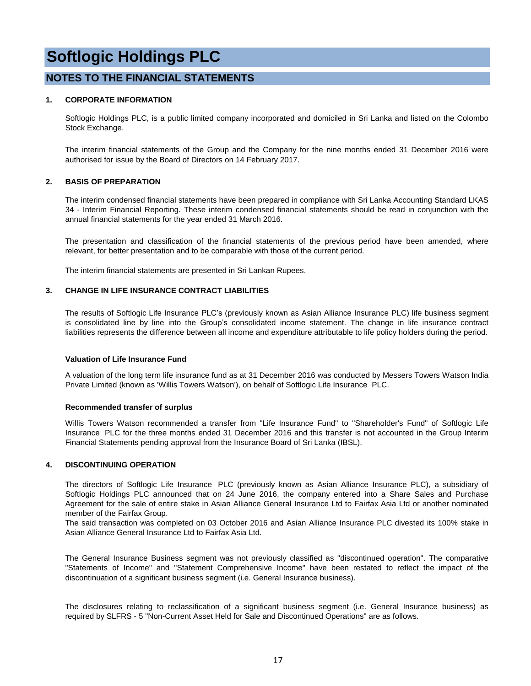#### **NOTES TO THE FINANCIAL STATEMENTS**

#### **1. CORPORATE INFORMATION**

Softlogic Holdings PLC, is a public limited company incorporated and domiciled in Sri Lanka and listed on the Colombo Stock Exchange.

The interim financial statements of the Group and the Company for the nine months ended 31 December 2016 were authorised for issue by the Board of Directors on 14 February 2017.

#### **2. BASIS OF PREPARATION**

The interim condensed financial statements have been prepared in compliance with Sri Lanka Accounting Standard LKAS 34 - Interim Financial Reporting. These interim condensed financial statements should be read in conjunction with the annual financial statements for the year ended 31 March 2016.

The presentation and classification of the financial statements of the previous period have been amended, where relevant, for better presentation and to be comparable with those of the current period.

The interim financial statements are presented in Sri Lankan Rupees.

#### **3. CHANGE IN LIFE INSURANCE CONTRACT LIABILITIES**

The results of Softlogic Life Insurance PLC's (previously known as Asian Alliance Insurance PLC) life business segment is consolidated line by line into the Group's consolidated income statement. The change in life insurance contract liabilities represents the difference between all income and expenditure attributable to life policy holders during the period.

#### **Valuation of Life Insurance Fund**

A valuation of the long term life insurance fund as at 31 December 2016 was conducted by Messers Towers Watson India Private Limited (known as 'Willis Towers Watson'), on behalf of Softlogic Life Insurance PLC.

#### **Recommended transfer of surplus**

Willis Towers Watson recommended a transfer from "Life Insurance Fund" to "Shareholder's Fund" of Softlogic Life Insurance PLC for the three months ended 31 December 2016 and this transfer is not accounted in the Group Interim Financial Statements pending approval from the Insurance Board of Sri Lanka (IBSL).

#### **4. DISCONTINUING OPERATION**

The directors of Softlogic Life Insurance PLC (previously known as Asian Alliance Insurance PLC), a subsidiary of Softlogic Holdings PLC announced that on 24 June 2016, the company entered into a Share Sales and Purchase Agreement for the sale of entire stake in Asian Alliance General Insurance Ltd to Fairfax Asia Ltd or another nominated member of the Fairfax Group.

The said transaction was completed on 03 October 2016 and Asian Alliance Insurance PLC divested its 100% stake in Asian Alliance General Insurance Ltd to Fairfax Asia Ltd.

The General Insurance Business segment was not previously classified as "discontinued operation". The comparative "Statements of Income" and "Statement Comprehensive Income" have been restated to reflect the impact of the discontinuation of a significant business segment (i.e. General Insurance business).

The disclosures relating to reclassification of a significant business segment (i.e. General Insurance business) as required by SLFRS - 5 "Non-Current Asset Held for Sale and Discontinued Operations" are as follows.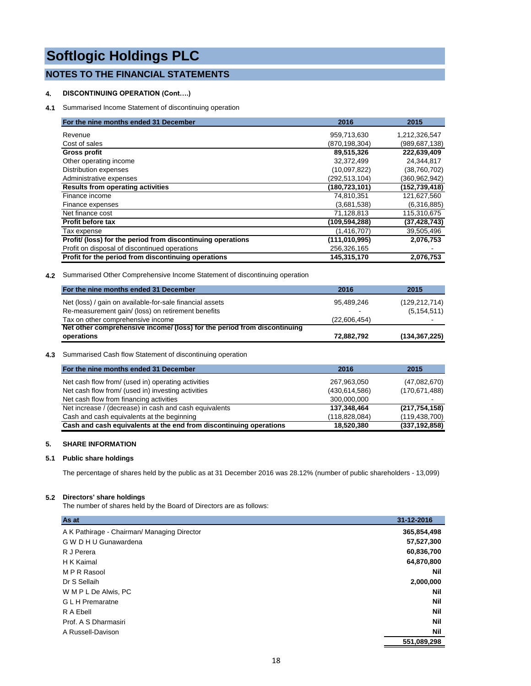#### **NOTES TO THE FINANCIAL STATEMENTS**

#### **4. DISCONTINUING OPERATION (Cont….)**

**4.1** Summarised Income Statement of discontinuing operation

| For the nine months ended 31 December                       | 2016            | 2015           |
|-------------------------------------------------------------|-----------------|----------------|
| Revenue                                                     | 959,713,630     | 1,212,326,547  |
| Cost of sales                                               | (870,198,304)   | (989,687,138)  |
| <b>Gross profit</b>                                         | 89,515,326      | 222,639,409    |
| Other operating income                                      | 32,372,499      | 24,344,817     |
| Distribution expenses                                       | (10,097,822)    | (38,760,702)   |
| Administrative expenses                                     | (292, 513, 104) | (360,962,942)  |
| <b>Results from operating activities</b>                    | (180,723,101)   | (152,739,418)  |
| Finance income                                              | 74,810,351      | 121,627,560    |
| Finance expenses                                            | (3,681,538)     | (6,316,885)    |
| Net finance cost                                            | 71,128,813      | 115,310,675    |
| <b>Profit before tax</b>                                    | (109.594.288)   | (37, 428, 743) |
| Tax expense                                                 | (1, 416, 707)   | 39,505,496     |
| Profit/ (loss) for the period from discontinuing operations | (111, 010, 995) | 2,076,753      |
| Profit on disposal of discontinued operations               | 256,326,165     |                |
| Profit for the period from discontinuing operations         | 145,315,170     | 2,076,753      |

**4.2** Summarised Other Comprehensive Income Statement of discontinuing operation

| For the nine months ended 31 December                                    | 2016                     | 2015            |
|--------------------------------------------------------------------------|--------------------------|-----------------|
| Net (loss) / gain on available-for-sale financial assets                 | 95.489.246               | (129, 212, 714) |
| Re-measurement gain/ (loss) on retirement benefits                       | $\overline{\phantom{0}}$ | (5, 154, 511)   |
| Tax on other comprehensive income                                        | (22,606,454)             |                 |
| Net other comprehensive income/ (loss) for the period from discontinuing |                          |                 |
| operations                                                               | 72,882,792               | (134, 367, 225) |

#### **4.3** Summarised Cash flow Statement of discontinuing operation

| For the nine months ended 31 December                              | 2016          | 2015            |
|--------------------------------------------------------------------|---------------|-----------------|
| Net cash flow from/ (used in) operating activities                 | 267,963,050   | (47,082,670)    |
| Net cash flow from/ (used in) investing activities                 | (430.614.586) | (170.671.488)   |
| Net cash flow from financing activities                            | 300,000,000   |                 |
| Net increase / (decrease) in cash and cash equivalents             | 137,348,464   | (217, 754, 158) |
| Cash and cash equivalents at the beginning                         | (118,828,084) | (119, 438, 700) |
| Cash and cash equivalents at the end from discontinuing operations | 18,520,380    | (337, 192, 858) |

#### **5. SHARE INFORMATION**

#### **5.1 Public share holdings**

The percentage of shares held by the public as at 31 December 2016 was 28.12% (number of public shareholders - 13,099)

#### **5.2 Directors' share holdings**

The number of shares held by the Board of Directors are as follows:

| As at                                       | 31-12-2016  |
|---------------------------------------------|-------------|
| A K Pathirage - Chairman/ Managing Director | 365,854,498 |
| G W D H U Gunawardena                       | 57,527,300  |
| R J Perera                                  | 60,836,700  |
| H K Kaimal                                  | 64,870,800  |
| M P R Rasool                                | <b>Nil</b>  |
| Dr S Sellaih                                | 2,000,000   |
| W M P L De Alwis, PC                        | <b>Nil</b>  |
| <b>GLH</b> Premaratne                       | <b>Nil</b>  |
| R A Ebell                                   | <b>Nil</b>  |
| Prof. A S Dharmasiri                        | <b>Nil</b>  |
| A Russell-Davison                           | Nil         |
|                                             | 551.089.298 |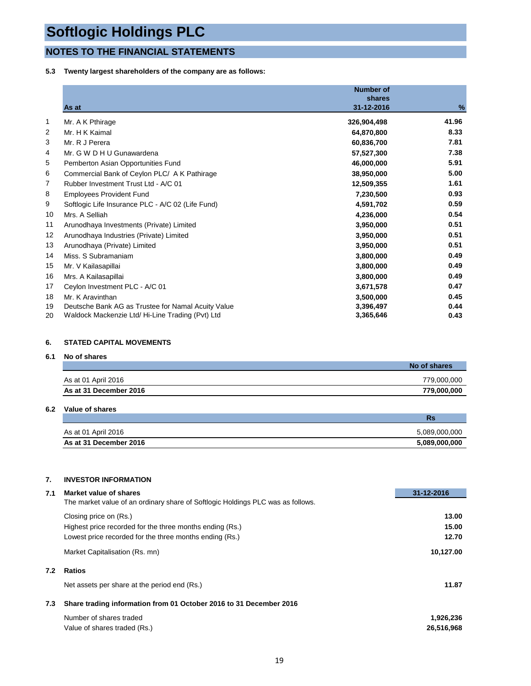### **NOTES TO THE FINANCIAL STATEMENTS**

#### **5.3 Twenty largest shareholders of the company are as follows:**

|    | As at                                              | <b>Number of</b><br>shares<br>31-12-2016 | %     |
|----|----------------------------------------------------|------------------------------------------|-------|
|    |                                                    |                                          |       |
| 1  | Mr. A K Pthirage                                   | 326,904,498                              | 41.96 |
| 2  | Mr. H K Kaimal                                     | 64,870,800                               | 8.33  |
| 3  | Mr. R J Perera                                     | 60,836,700                               | 7.81  |
| 4  | Mr. G W D H U Gunawardena                          | 57,527,300                               | 7.38  |
| 5  | Pemberton Asian Opportunities Fund                 | 46,000,000                               | 5.91  |
| 6  | Commercial Bank of Ceylon PLC/ A K Pathirage       | 38,950,000                               | 5.00  |
| 7  | Rubber Investment Trust Ltd - A/C 01               | 12,509,355                               | 1.61  |
| 8  | <b>Employees Provident Fund</b>                    | 7,230,500                                | 0.93  |
| 9  | Softlogic Life Insurance PLC - A/C 02 (Life Fund)  | 4,591,702                                | 0.59  |
| 10 | Mrs. A Selliah                                     | 4,236,000                                | 0.54  |
| 11 | Arunodhaya Investments (Private) Limited           | 3,950,000                                | 0.51  |
| 12 | Arunodhaya Industries (Private) Limited            | 3,950,000                                | 0.51  |
| 13 | Arunodhaya (Private) Limited                       | 3,950,000                                | 0.51  |
| 14 | Miss. S Subramaniam                                | 3,800,000                                | 0.49  |
| 15 | Mr. V Kailasapillai                                | 3,800,000                                | 0.49  |
| 16 | Mrs. A Kailasapillai                               | 3,800,000                                | 0.49  |
| 17 | Ceylon Investment PLC - A/C 01                     | 3,671,578                                | 0.47  |
| 18 | Mr. K Aravinthan                                   | 3,500,000                                | 0.45  |
| 19 | Deutsche Bank AG as Trustee for Namal Acuity Value | 3,396,497                                | 0.44  |
| 20 | Waldock Mackenzie Ltd/ Hi-Line Trading (Pvt) Ltd   | 3,365,646                                | 0.43  |

#### **6. STATED CAPITAL MOVEMENTS**

#### **6.1 No of shares**

|                        | No of shares |
|------------------------|--------------|
| As at 01 April 2016    | 779.000.000  |
| As at 31 December 2016 | 779.000.000  |

#### **6.2 Value of shares**

|                        | Rs            |
|------------------------|---------------|
| As at 01 April 2016    | 5,089,000,000 |
| As at 31 December 2016 | 5,089,000,000 |

#### **7. INVESTOR INFORMATION**

| 7.1 | Market value of shares                                                          | 31-12-2016 |
|-----|---------------------------------------------------------------------------------|------------|
|     | The market value of an ordinary share of Softlogic Holdings PLC was as follows. |            |
|     | Closing price on (Rs.)                                                          | 13.00      |
|     | Highest price recorded for the three months ending (Rs.)                        | 15.00      |
|     | Lowest price recorded for the three months ending (Rs.)                         | 12.70      |
|     | Market Capitalisation (Rs. mn)                                                  | 10,127.00  |
| 7.2 | <b>Ratios</b>                                                                   |            |
|     | Net assets per share at the period end (Rs.)                                    | 11.87      |
| 7.3 | Share trading information from 01 October 2016 to 31 December 2016              |            |
|     | Number of shares traded                                                         | 1,926,236  |
|     | Value of shares traded (Rs.)                                                    | 26,516,968 |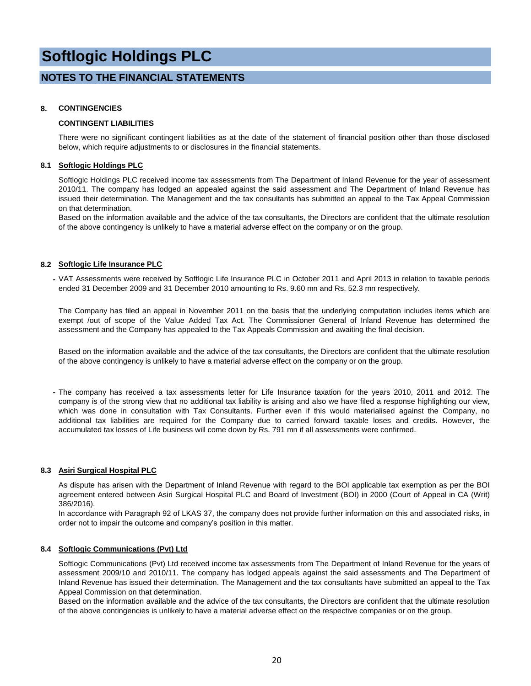#### **NOTES TO THE FINANCIAL STATEMENTS**

#### **8. CONTINGENCIES**

#### **CONTINGENT LIABILITIES**

There were no significant contingent liabilities as at the date of the statement of financial position other than those disclosed below, which require adjustments to or disclosures in the financial statements.

#### **8.1 Softlogic Holdings PLC**

Softlogic Holdings PLC received income tax assessments from The Department of Inland Revenue for the year of assessment 2010/11. The company has lodged an appealed against the said assessment and The Department of Inland Revenue has issued their determination. The Management and the tax consultants has submitted an appeal to the Tax Appeal Commission on that determination.

Based on the information available and the advice of the tax consultants, the Directors are confident that the ultimate resolution of the above contingency is unlikely to have a material adverse effect on the company or on the group.

#### **8.2 Softlogic Life Insurance PLC**

**-** VAT Assessments were received by Softlogic Life Insurance PLC in October 2011 and April 2013 in relation to taxable periods ended 31 December 2009 and 31 December 2010 amounting to Rs. 9.60 mn and Rs. 52.3 mn respectively.

The Company has filed an appeal in November 2011 on the basis that the underlying computation includes items which are exempt /out of scope of the Value Added Tax Act. The Commissioner General of Inland Revenue has determined the assessment and the Company has appealed to the Tax Appeals Commission and awaiting the final decision.

Based on the information available and the advice of the tax consultants, the Directors are confident that the ultimate resolution of the above contingency is unlikely to have a material adverse effect on the company or on the group.

**-** The company has received a tax assessments letter for Life Insurance taxation for the years 2010, 2011 and 2012. The company is of the strong view that no additional tax liability is arising and also we have filed a response highlighting our view, which was done in consultation with Tax Consultants. Further even if this would materialised against the Company, no additional tax liabilities are required for the Company due to carried forward taxable loses and credits. However, the accumulated tax losses of Life business will come down by Rs. 791 mn if all assessments were confirmed.

#### **8.3 Asiri Surgical Hospital PLC**

As dispute has arisen with the Department of Inland Revenue with regard to the BOI applicable tax exemption as per the BOI agreement entered between Asiri Surgical Hospital PLC and Board of Investment (BOI) in 2000 (Court of Appeal in CA (Writ) 386/2016).

In accordance with Paragraph 92 of LKAS 37, the company does not provide further information on this and associated risks, in order not to impair the outcome and company's position in this matter.

#### **8.4 Softlogic Communications (Pvt) Ltd**

Softlogic Communications (Pvt) Ltd received income tax assessments from The Department of Inland Revenue for the years of assessment 2009/10 and 2010/11. The company has lodged appeals against the said assessments and The Department of Inland Revenue has issued their determination. The Management and the tax consultants have submitted an appeal to the Tax Appeal Commission on that determination.

Based on the information available and the advice of the tax consultants, the Directors are confident that the ultimate resolution of the above contingencies is unlikely to have a material adverse effect on the respective companies or on the group.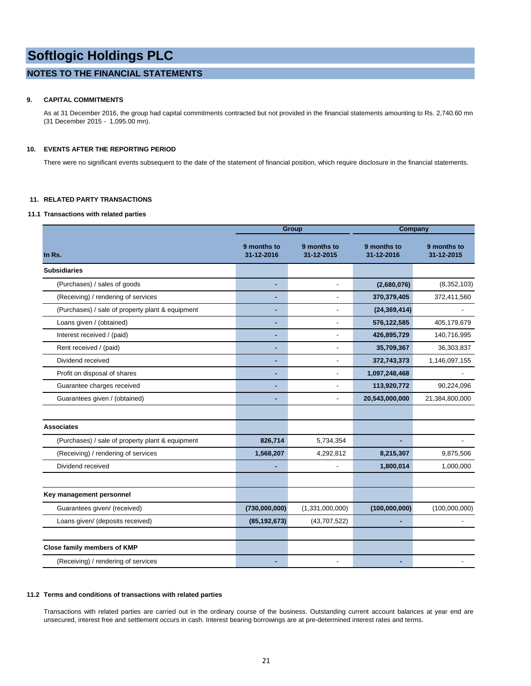#### **NOTES TO THE FINANCIAL STATEMENTS**

#### **9. CAPITAL COMMITMENTS**

As at 31 December 2016, the group had capital commitments contracted but not provided in the financial statements amounting to Rs. 2,740.60 mn (31 December 2015 - 1,095.00 mn).

#### **10. EVENTS AFTER THE REPORTING PERIOD**

There were no significant events subsequent to the date of the statement of financial position, which require disclosure in the financial statements.

#### **11. RELATED PARTY TRANSACTIONS**

#### **11.1 Transactions with related parties**

|                                                  |                           | <b>Group</b>              | Company                   |                           |  |  |
|--------------------------------------------------|---------------------------|---------------------------|---------------------------|---------------------------|--|--|
| In Rs.                                           | 9 months to<br>31-12-2016 | 9 months to<br>31-12-2015 | 9 months to<br>31-12-2016 | 9 months to<br>31-12-2015 |  |  |
| <b>Subsidiaries</b>                              |                           |                           |                           |                           |  |  |
| (Purchases) / sales of goods                     | ۰                         | $\overline{\phantom{a}}$  | (2,680,076)               | (8,352,103)               |  |  |
| (Receiving) / rendering of services              |                           | $\blacksquare$            | 370,379,405               | 372,411,560               |  |  |
| (Purchases) / sale of property plant & equipment |                           | $\blacksquare$            | (24, 369, 414)            |                           |  |  |
| Loans given / (obtained)                         |                           |                           | 576,122,585               | 405,179,679               |  |  |
| Interest received / (paid)                       | ٠                         | $\blacksquare$            | 426,895,729               | 140,716,995               |  |  |
| Rent received / (paid)                           |                           |                           | 35,709,367                | 36,303,837                |  |  |
| Dividend received                                | ٠                         |                           | 372,743,373               | 1,146,097,155             |  |  |
| Profit on disposal of shares                     |                           |                           | 1,097,248,468             |                           |  |  |
| Guarantee charges received                       |                           | $\blacksquare$            | 113,920,772               | 90,224,096                |  |  |
| Guarantees given / (obtained)                    |                           |                           | 20,543,000,000            | 21,384,800,000            |  |  |
|                                                  |                           |                           |                           |                           |  |  |
| <b>Associates</b>                                |                           |                           |                           |                           |  |  |
| (Purchases) / sale of property plant & equipment | 826,714                   | 5,734,354                 |                           |                           |  |  |
| (Receiving) / rendering of services              | 1,568,207                 | 4,292,812                 | 8,215,307                 | 9,875,506                 |  |  |
| Dividend received                                |                           | ÷,                        | 1,800,014                 | 1,000,000                 |  |  |
|                                                  |                           |                           |                           |                           |  |  |
| Key management personnel                         |                           |                           |                           |                           |  |  |
| Guarantees given/ (received)                     | (730,000,000)             | (1,331,000,000)           | (100,000,000)             | (100,000,000)             |  |  |
| Loans given/ (deposits received)                 | (85, 192, 673)            | (43,707,522)              |                           |                           |  |  |
|                                                  |                           |                           |                           |                           |  |  |
| Close family members of KMP                      |                           |                           |                           |                           |  |  |
| (Receiving) / rendering of services              |                           |                           |                           |                           |  |  |

#### **11.2 Terms and conditions of transactions with related parties**

Transactions with related parties are carried out in the ordinary course of the business. Outstanding current account balances at year end are unsecured, interest free and settlement occurs in cash. Interest bearing borrowings are at pre-determined interest rates and terms.